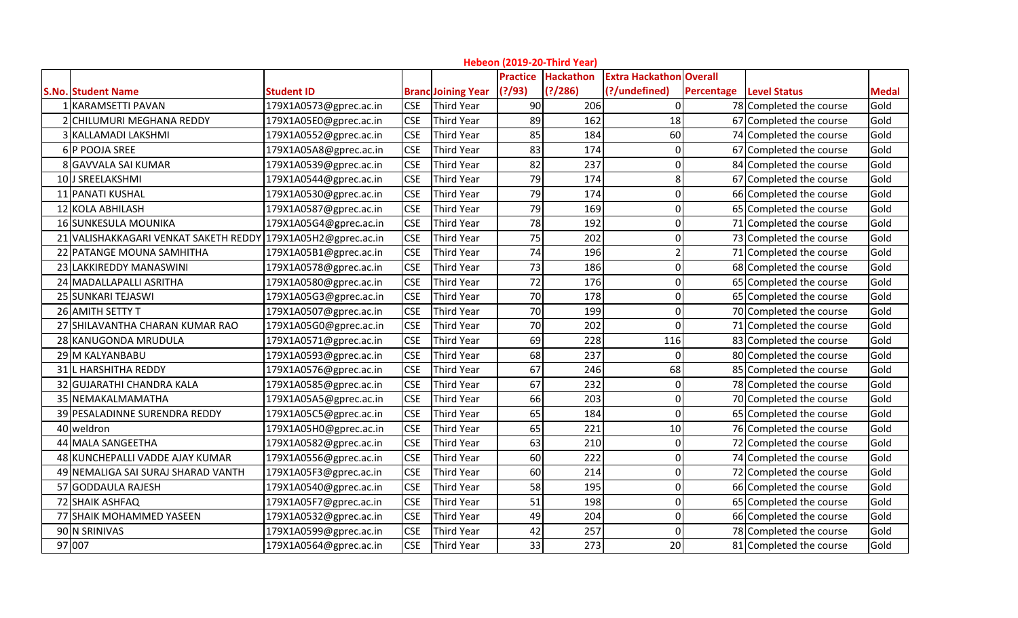| Hebeon (2019-20-Third Year)<br><b>Practice Hackathon</b>     |                        |            |                           |         |          |                         |                                |                         |              |  |
|--------------------------------------------------------------|------------------------|------------|---------------------------|---------|----------|-------------------------|--------------------------------|-------------------------|--------------|--|
|                                                              |                        |            |                           |         |          | <b>Extra Hackathon</b>  | <b>Overall</b>                 |                         |              |  |
| <b>S.No. Student Name</b>                                    | <b>Student ID</b>      |            | <b>Branc Joining Year</b> | (?)/93) | (?)/286) | (?/undefined)           | <b>Percentage Level Status</b> |                         | <b>Medal</b> |  |
| 1 KARAMSETTI PAVAN                                           | 179X1A0573@gprec.ac.in | <b>CSE</b> | Third Year                | 90      | 206      | ∩                       |                                | 78 Completed the course | Gold         |  |
| 2 CHILUMURI MEGHANA REDDY                                    | 179X1A05E0@gprec.ac.in | <b>CSE</b> | <b>Third Year</b>         | 89      | 162      | 18                      |                                | 67 Completed the course | Gold         |  |
| 3 KALLAMADI LAKSHMI                                          | 179X1A0552@gprec.ac.in | <b>CSE</b> | <b>Third Year</b>         | 85      | 184      | 60                      |                                | 74 Completed the course | Gold         |  |
| 6 P POOJA SREE                                               | 179X1A05A8@gprec.ac.in | <b>CSE</b> | <b>Third Year</b>         | 83      | 174      | $\Omega$                |                                | 67 Completed the course | Gold         |  |
| 8 GAVVALA SAI KUMAR                                          | 179X1A0539@gprec.ac.in | <b>CSE</b> | <b>Third Year</b>         | 82      | 237      | $\Omega$                |                                | 84 Completed the course | Gold         |  |
| 10 J SREELAKSHMI                                             | 179X1A0544@gprec.ac.in | <b>CSE</b> | <b>Third Year</b>         | 79      | 174      | 8                       |                                | 67 Completed the course | Gold         |  |
| 11 PANATI KUSHAL                                             | 179X1A0530@gprec.ac.in | <b>CSE</b> | <b>Third Year</b>         | 79      | 174      | $\Omega$                |                                | 66 Completed the course | Gold         |  |
| 12 KOLA ABHILASH                                             | 179X1A0587@gprec.ac.in | <b>CSE</b> | <b>Third Year</b>         | 79      | 169      | $\Omega$                |                                | 65 Completed the course | Gold         |  |
| 16 SUNKESULA MOUNIKA                                         | 179X1A05G4@gprec.ac.in | <b>CSE</b> | <b>Third Year</b>         | 78      | 192      | $\Omega$                |                                | 71 Completed the course | Gold         |  |
| 21 VALISHAKKAGARI VENKAT SAKETH REDDY 179X1A05H2@gprec.ac.in |                        | <b>CSE</b> | <b>Third Year</b>         | 75      | 202      | $\Omega$                |                                | 73 Completed the course | Gold         |  |
| 22 PATANGE MOUNA SAMHITHA                                    | 179X1A05B1@gprec.ac.in | <b>CSE</b> | <b>Third Year</b>         | 74      | 196      | $\overline{\mathbf{c}}$ |                                | 71 Completed the course | Gold         |  |
| 23 LAKKIREDDY MANASWINI                                      | 179X1A0578@gprec.ac.in | <b>CSE</b> | <b>Third Year</b>         | 73      | 186      | $\Omega$                |                                | 68 Completed the course | Gold         |  |
| 24 MADALLAPALLI ASRITHA                                      | 179X1A0580@gprec.ac.in | <b>CSE</b> | <b>Third Year</b>         | 72      | 176      | $\Omega$                |                                | 65 Completed the course | Gold         |  |
| 25 SUNKARI TEJASWI                                           | 179X1A05G3@gprec.ac.in | <b>CSE</b> | <b>Third Year</b>         | 70      | 178      | 0                       |                                | 65 Completed the course | Gold         |  |
| 26 AMITH SETTY T                                             | 179X1A0507@gprec.ac.in | <b>CSE</b> | <b>Third Year</b>         | 70      | 199      | $\Omega$                |                                | 70 Completed the course | Gold         |  |
| 27 SHILAVANTHA CHARAN KUMAR RAO                              | 179X1A05G0@gprec.ac.in | <b>CSE</b> | <b>Third Year</b>         | 70      | 202      | $\Omega$                |                                | 71 Completed the course | Gold         |  |
| 28 KANUGONDA MRUDULA                                         | 179X1A0571@gprec.ac.in | <b>CSE</b> | <b>Third Year</b>         | 69      | 228      | 116                     |                                | 83 Completed the course | Gold         |  |
| 29 M KALYANBABU                                              | 179X1A0593@gprec.ac.in | <b>CSE</b> | <b>Third Year</b>         | 68      | 237      | $\Omega$                |                                | 80 Completed the course | Gold         |  |
| 31 L HARSHITHA REDDY                                         | 179X1A0576@gprec.ac.in | <b>CSE</b> | <b>Third Year</b>         | 67      | 246      | 68                      |                                | 85 Completed the course | Gold         |  |
| 32 GUJARATHI CHANDRA KALA                                    | 179X1A0585@gprec.ac.in | <b>CSE</b> | <b>Third Year</b>         | 67      | 232      | $\Omega$                |                                | 78 Completed the course | Gold         |  |
| 35 NEMAKALMAMATHA                                            | 179X1A05A5@gprec.ac.in | <b>CSE</b> | <b>Third Year</b>         | 66      | 203      | $\Omega$                |                                | 70 Completed the course | Gold         |  |
| 39 PESALADINNE SURENDRA REDDY                                | 179X1A05C5@gprec.ac.in | <b>CSE</b> | <b>Third Year</b>         | 65      | 184      | $\Omega$                |                                | 65 Completed the course | Gold         |  |
| 40 weldron                                                   | 179X1A05H0@gprec.ac.in | <b>CSE</b> | <b>Third Year</b>         | 65      | 221      | 10                      |                                | 76 Completed the course | Gold         |  |
| 44 MALA SANGEETHA                                            | 179X1A0582@gprec.ac.in | <b>CSE</b> | <b>Third Year</b>         | 63      | 210      | $\Omega$                |                                | 72 Completed the course | Gold         |  |
| 48 KUNCHEPALLI VADDE AJAY KUMAR                              | 179X1A0556@gprec.ac.in | <b>CSE</b> | <b>Third Year</b>         | 60      | 222      | 0                       |                                | 74 Completed the course | Gold         |  |
| 49 NEMALIGA SAI SURAJ SHARAD VANTH                           | 179X1A05F3@gprec.ac.in | <b>CSE</b> | <b>Third Year</b>         | 60      | 214      | $\Omega$                |                                | 72 Completed the course | Gold         |  |
| 57 GODDAULA RAJESH                                           | 179X1A0540@gprec.ac.in | <b>CSE</b> | <b>Third Year</b>         | 58      | 195      | $\Omega$                |                                | 66 Completed the course | Gold         |  |
| 72 SHAIK ASHFAQ                                              | 179X1A05F7@gprec.ac.in | <b>CSE</b> | <b>Third Year</b>         | 51      | 198      | $\Omega$                |                                | 65 Completed the course | Gold         |  |
| 77 SHAIK MOHAMMED YASEEN                                     | 179X1A0532@gprec.ac.in | <b>CSE</b> | <b>Third Year</b>         | 49      | 204      | 0                       |                                | 66 Completed the course | Gold         |  |
| 90 N SRINIVAS                                                | 179X1A0599@gprec.ac.in | <b>CSE</b> | <b>Third Year</b>         | 42      | 257      | $\Omega$                |                                | 78 Completed the course | Gold         |  |
| 97 007                                                       | 179X1A0564@gprec.ac.in | <b>CSE</b> | Third Year                | 33      | 273      | 20                      |                                | 81 Completed the course | Gold         |  |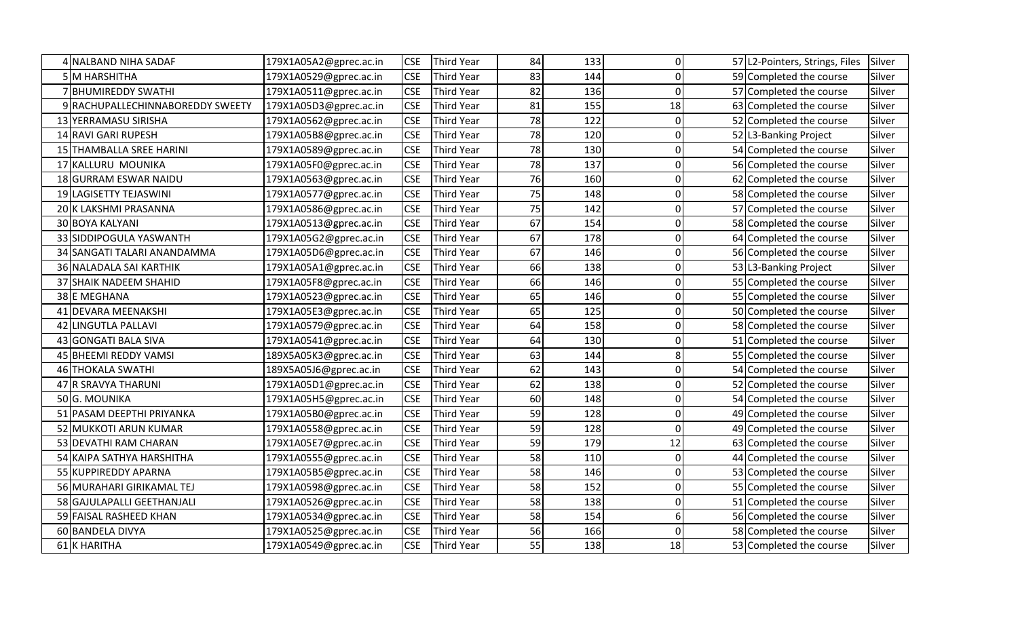| NALBAND NIHA SADAF               | 179X1A05A2@gprec.ac.in | <b>CSE</b> | <b>Third Year</b> | 84 | 133 | 0        |      | 57 L2-Pointers, Strings, Files | Silver |
|----------------------------------|------------------------|------------|-------------------|----|-----|----------|------|--------------------------------|--------|
| <b>5 M HARSHITHA</b>             | 179X1A0529@gprec.ac.in | <b>CSE</b> | <b>Third Year</b> | 83 | 144 | $\Omega$ |      | 59 Completed the course        | Silver |
| 7 BHUMIREDDY SWATHI              | 179X1A0511@gprec.ac.in | <b>CSE</b> | <b>Third Year</b> | 82 | 136 | $\Omega$ |      | 57 Completed the course        | Silver |
| 9 RACHUPALLECHINNABOREDDY SWEETY | 179X1A05D3@gprec.ac.in | <b>CSE</b> | <b>Third Year</b> | 81 | 155 | 18       |      | 63 Completed the course        | Silver |
| 13 YERRAMASU SIRISHA             | 179X1A0562@gprec.ac.in | <b>CSE</b> | <b>Third Year</b> | 78 | 122 | 0        |      | 52 Completed the course        | Silver |
| 14 RAVI GARI RUPESH              | 179X1A05B8@gprec.ac.in | <b>CSE</b> | <b>Third Year</b> | 78 | 120 | $\Omega$ |      | 52 L3-Banking Project          | Silver |
| 15 THAMBALLA SREE HARINI         | 179X1A0589@gprec.ac.in | <b>CSE</b> | <b>Third Year</b> | 78 | 130 | 0        |      | 54 Completed the course        | Silver |
| 17 KALLURU MOUNIKA               | 179X1A05F0@gprec.ac.in | <b>CSE</b> | <b>Third Year</b> | 78 | 137 | O        |      | 56 Completed the course        | Silver |
| 18 GURRAM ESWAR NAIDU            | 179X1A0563@gprec.ac.in | <b>CSE</b> | <b>Third Year</b> | 76 | 160 | ŋ        |      | 62 Completed the course        | Silver |
| 19 LAGISETTY TEJASWINI           | 179X1A0577@gprec.ac.in | <b>CSE</b> | <b>Third Year</b> | 75 | 148 | $\Omega$ |      | 58 Completed the course        | Silver |
| 20 K LAKSHMI PRASANNA            | 179X1A0586@gprec.ac.in | <b>CSE</b> | <b>Third Year</b> | 75 | 142 | 0        |      | 57 Completed the course        | Silver |
| 30 BOYA KALYANI                  | 179X1A0513@gprec.ac.in | <b>CSE</b> | <b>Third Year</b> | 67 | 154 | 0        |      | 58 Completed the course        | Silver |
| 33 SIDDIPOGULA YASWANTH          | 179X1A05G2@gprec.ac.in | <b>CSE</b> | <b>Third Year</b> | 67 | 178 | O        |      | 64 Completed the course        | Silver |
| 34 SANGATI TALARI ANANDAMMA      | 179X1A05D6@gprec.ac.in | <b>CSE</b> | <b>Third Year</b> | 67 | 146 | O        |      | 56 Completed the course        | Silver |
| 36 NALADALA SAI KARTHIK          | 179X1A05A1@gprec.ac.in | <b>CSE</b> | <b>Third Year</b> | 66 | 138 | 0        |      | 53 L3-Banking Project          | Silver |
| 37 SHAIK NADEEM SHAHID           | 179X1A05F8@gprec.ac.in | <b>CSE</b> | <b>Third Year</b> | 66 | 146 | 0        |      | 55 Completed the course        | Silver |
| 38 E MEGHANA                     | 179X1A0523@gprec.ac.in | <b>CSE</b> | <b>Third Year</b> | 65 | 146 | O        |      | 55 Completed the course        | Silver |
| 41 DEVARA MEENAKSHI              | 179X1A05E3@gprec.ac.in | <b>CSE</b> | <b>Third Year</b> | 65 | 125 | O        |      | 50 Completed the course        | Silver |
| 42 LINGUTLA PALLAVI              | 179X1A0579@gprec.ac.in | <b>CSE</b> | <b>Third Year</b> | 64 | 158 | 0        |      | 58 Completed the course        | Silver |
| 43 GONGATI BALA SIVA             | 179X1A0541@gprec.ac.in | <b>CSE</b> | <b>Third Year</b> | 64 | 130 | ŋ        |      | 51 Completed the course        | Silver |
| 45 BHEEMI REDDY VAMSI            | 189X5A05K3@gprec.ac.in | <b>CSE</b> | <b>Third Year</b> | 63 | 144 | 8        |      | 55 Completed the course        | Silver |
| 46 THOKALA SWATHI                | 189X5A05J6@gprec.ac.in | <b>CSE</b> | <b>Third Year</b> | 62 | 143 | $\Omega$ |      | 54 Completed the course        | Silver |
| 47 R SRAVYA THARUNI              | 179X1A05D1@gprec.ac.in | <b>CSE</b> | <b>Third Year</b> | 62 | 138 | $\Omega$ |      | 52 Completed the course        | Silver |
| 50 G. MOUNIKA                    | 179X1A05H5@gprec.ac.in | <b>CSE</b> | Third Year        | 60 | 148 | O        |      | 54 Completed the course        | Silver |
| 51 PASAM DEEPTHI PRIYANKA        | 179X1A05B0@gprec.ac.in | <b>CSE</b> | <b>Third Year</b> | 59 | 128 | O        |      | 49 Completed the course        | Silver |
| 52 MUKKOTI ARUN KUMAR            | 179X1A0558@gprec.ac.in | <b>CSE</b> | <b>Third Year</b> | 59 | 128 | 0        |      | 49 Completed the course        | Silver |
| 53 DEVATHI RAM CHARAN            | 179X1A05E7@gprec.ac.in | <b>CSE</b> | <b>Third Year</b> | 59 | 179 | 12       |      | 63 Completed the course        | Silver |
| 54 KAIPA SATHYA HARSHITHA        | 179X1A0555@gprec.ac.in | <b>CSE</b> | <b>Third Year</b> | 58 | 110 | $\Omega$ | 44 I | Completed the course           | Silver |
| 55 KUPPIREDDY APARNA             | 179X1A05B5@gprec.ac.in | <b>CSE</b> | <b>Third Year</b> | 58 | 146 | O        |      | 53 Completed the course        | Silver |
| 56 MURAHARI GIRIKAMAL TEJ        | 179X1A0598@gprec.ac.in | <b>CSE</b> | <b>Third Year</b> | 58 | 152 | O        |      | 55 Completed the course        | Silver |
| 58 GAJULAPALLI GEETHANJALI       | 179X1A0526@gprec.ac.in | <b>CSE</b> | <b>Third Year</b> | 58 | 138 | O        |      | 51 Completed the course        | Silver |
| 59 FAISAL RASHEED KHAN           | 179X1A0534@gprec.ac.in | <b>CSE</b> | <b>Third Year</b> | 58 | 154 | 6        |      | 56 Completed the course        | Silver |
| 60 BANDELA DIVYA                 | 179X1A0525@gprec.ac.in | <b>CSE</b> | <b>Third Year</b> | 56 | 166 | $\Omega$ |      | 58 Completed the course        | Silver |
| 61 K HARITHA                     | 179X1A0549@gprec.ac.in | <b>CSE</b> | <b>Third Year</b> | 55 | 138 | 18       |      | 53 Completed the course        | Silver |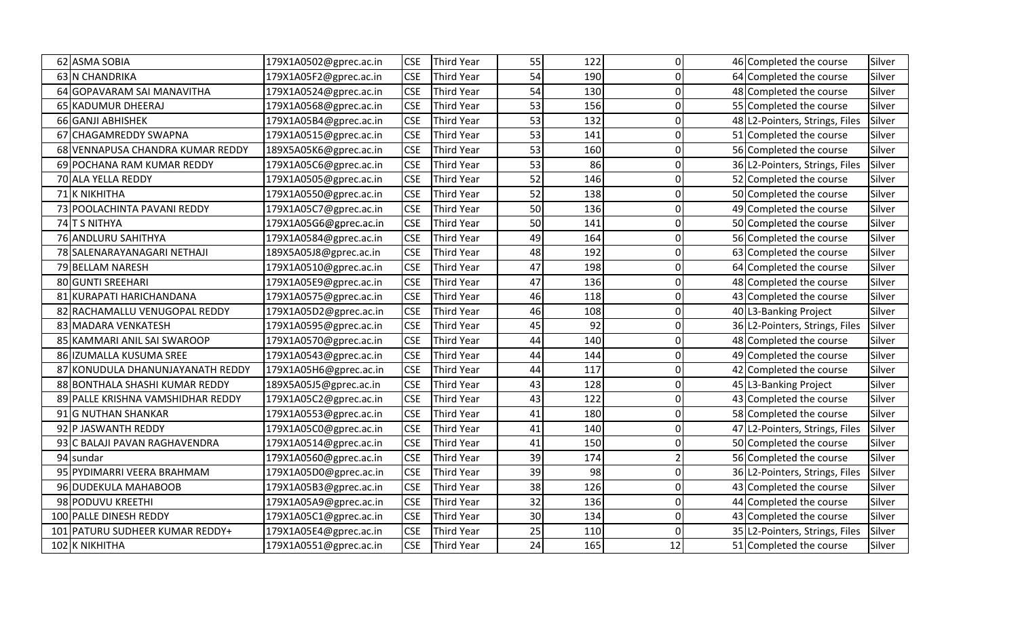|     | 62 ASMA SOBIA                     | 179X1A0502@gprec.ac.in | <b>CSE</b> | <b>Third Year</b> | 55 | 122 | 0        |    | 46 Completed the course        | Silver |
|-----|-----------------------------------|------------------------|------------|-------------------|----|-----|----------|----|--------------------------------|--------|
|     | <b>63 N CHANDRIKA</b>             | 179X1A05F2@gprec.ac.in | <b>CSE</b> | <b>Third Year</b> | 54 | 190 | 0        |    | 64 Completed the course        | Silver |
|     | 64 GOPAVARAM SAI MANAVITHA        | 179X1A0524@gprec.ac.in | <b>CSE</b> | <b>Third Year</b> | 54 | 130 | O        |    | 48 Completed the course        | Silver |
|     | 65 KADUMUR DHEERAJ                | 179X1A0568@gprec.ac.in | <b>CSE</b> | <b>Third Year</b> | 53 | 156 | O        |    | 55 Completed the course        | Silver |
|     | 66 GANJI ABHISHEK                 | 179X1A05B4@gprec.ac.in | <b>CSE</b> | <b>Third Year</b> | 53 | 132 | 0        |    | 48 L2-Pointers, Strings, Files | Silver |
|     | 67 CHAGAMREDDY SWAPNA             | 179X1A0515@gprec.ac.in | <b>CSE</b> | <b>Third Year</b> | 53 | 141 | $\Omega$ |    | 51 Completed the course        | Silver |
|     | 68 VENNAPUSA CHANDRA KUMAR REDDY  | 189X5A05K6@gprec.ac.in | <b>CSE</b> | <b>Third Year</b> | 53 | 160 | ŋ        |    | 56 Completed the course        | Silver |
|     | 69 POCHANA RAM KUMAR REDDY        | 179X1A05C6@gprec.ac.in | <b>CSE</b> | <b>Third Year</b> | 53 | 86  | 0        |    | 36 L2-Pointers, Strings, Files | Silver |
|     | 70 ALA YELLA REDDY                | 179X1A0505@gprec.ac.in | <b>CSE</b> | <b>Third Year</b> | 52 | 146 | O        |    | 52 Completed the course        | Silver |
|     | 71 K NIKHITHA                     | 179X1A0550@gprec.ac.in | <b>CSE</b> | <b>Third Year</b> | 52 | 138 | 0        |    | 50 Completed the course        | Silver |
|     | 73 POOLACHINTA PAVANI REDDY       | 179X1A05C7@gprec.ac.in | <b>CSE</b> | <b>Third Year</b> | 50 | 136 | 0        |    | 49 Completed the course        | Silver |
|     | 74 T S NITHYA                     | 179X1A05G6@gprec.ac.in | <b>CSE</b> | <b>Third Year</b> | 50 | 141 | 0        |    | 50 Completed the course        | Silver |
|     | 76 ANDLURU SAHITHYA               | 179X1A0584@gprec.ac.in | <b>CSE</b> | <b>Third Year</b> | 49 | 164 | O        |    | 56 Completed the course        | Silver |
|     | 78 SALENARAYANAGARI NETHAJI       | 189X5A05J8@gprec.ac.in | <b>CSE</b> | Third Year        | 48 | 192 | O        |    | 63 Completed the course        | Silver |
|     | 79 BELLAM NARESH                  | 179X1A0510@gprec.ac.in | <b>CSE</b> | <b>Third Year</b> | 47 | 198 | O        |    | 64 Completed the course        | Silver |
|     | 80 GUNTI SREEHARI                 | 179X1A05E9@gprec.ac.in | <b>CSE</b> | <b>Third Year</b> | 47 | 136 | $\Omega$ |    | 48 Completed the course        | Silver |
|     | 81 KURAPATI HARICHANDANA          | 179X1A0575@gprec.ac.in | <b>CSE</b> | <b>Third Year</b> | 46 | 118 | $\Omega$ |    | 43 Completed the course        | Silver |
|     | 82 RACHAMALLU VENUGOPAL REDDY     | 179X1A05D2@gprec.ac.in | <b>CSE</b> | <b>Third Year</b> | 46 | 108 | O        |    | 40 L3-Banking Project          | Silver |
|     | 83 MADARA VENKATESH               | 179X1A0595@gprec.ac.in | <b>CSE</b> | <b>Third Year</b> | 45 | 92  | O        |    | 36 L2-Pointers, Strings, Files | Silver |
|     | 85 KAMMARI ANIL SAI SWAROOP       | 179X1A0570@gprec.ac.in | <b>CSE</b> | <b>Third Year</b> | 44 | 140 | O        |    | 48 Completed the course        | Silver |
|     | 86 IZUMALLA KUSUMA SREE           | 179X1A0543@gprec.ac.in | <b>CSE</b> | <b>Third Year</b> | 44 | 144 | 0        |    | 49 Completed the course        | Silver |
|     | 87 KONUDULA DHANUNJAYANATH REDDY  | 179X1A05H6@gprec.ac.in | <b>CSE</b> | <b>Third Year</b> | 44 | 117 | $\Omega$ | 42 | Completed the course           | Silver |
|     | 88 BONTHALA SHASHI KUMAR REDDY    | 189X5A05J5@gprec.ac.in | <b>CSE</b> | <b>Third Year</b> | 43 | 128 | $\Omega$ |    | 45 L3-Banking Project          | Silver |
|     | 89 PALLE KRISHNA VAMSHIDHAR REDDY | 179X1A05C2@gprec.ac.in | <b>CSE</b> | <b>Third Year</b> | 43 | 122 | O        |    | 43 Completed the course        | Silver |
|     | 91 G NUTHAN SHANKAR               | 179X1A0553@gprec.ac.in | <b>CSE</b> | <b>Third Year</b> | 41 | 180 | O        |    | 58 Completed the course        | Silver |
|     | 92 P JASWANTH REDDY               | 179X1A05C0@gprec.ac.in | <b>CSE</b> | <b>Third Year</b> | 41 | 140 | O        |    | 47 L2-Pointers, Strings, Files | Silver |
|     | 93 C BALAJI PAVAN RAGHAVENDRA     | 179X1A0514@gprec.ac.in | <b>CSE</b> | <b>Third Year</b> | 41 | 150 | 0        |    | 50 Completed the course        | Silver |
|     | 94 sundar                         | 179X1A0560@gprec.ac.in | <b>CSE</b> | <b>Third Year</b> | 39 | 174 |          |    | 56 Completed the course        | Silver |
|     | 95 PYDIMARRI VEERA BRAHMAM        | 179X1A05D0@gprec.ac.in | <b>CSE</b> | <b>Third Year</b> | 39 | 98  | O        |    | 36 L2-Pointers, Strings, Files | Silver |
|     | 96 DUDEKULA MAHABOOB              | 179X1A05B3@gprec.ac.in | <b>CSE</b> | <b>Third Year</b> | 38 | 126 | O        |    | 43 Completed the course        | Silver |
|     | 98 PODUVU KREETHI                 | 179X1A05A9@gprec.ac.in | <b>CSE</b> | <b>Third Year</b> | 32 | 136 | O        |    | 44 Completed the course        | Silver |
|     | 100 PALLE DINESH REDDY            | 179X1A05C1@gprec.ac.in | <b>CSE</b> | <b>Third Year</b> | 30 | 134 | $\Omega$ |    | 43 Completed the course        | Silver |
| 101 | PATURU SUDHEER KUMAR REDDY+       | 179X1A05E4@gprec.ac.in | <b>CSE</b> | <b>Third Year</b> | 25 | 110 | $\Omega$ |    | 35 L2-Pointers, Strings, Files | Silver |
|     | 102 K NIKHITHA                    | 179X1A0551@gprec.ac.in | <b>CSE</b> | <b>Third Year</b> | 24 | 165 | 12       |    | 51 Completed the course        | Silver |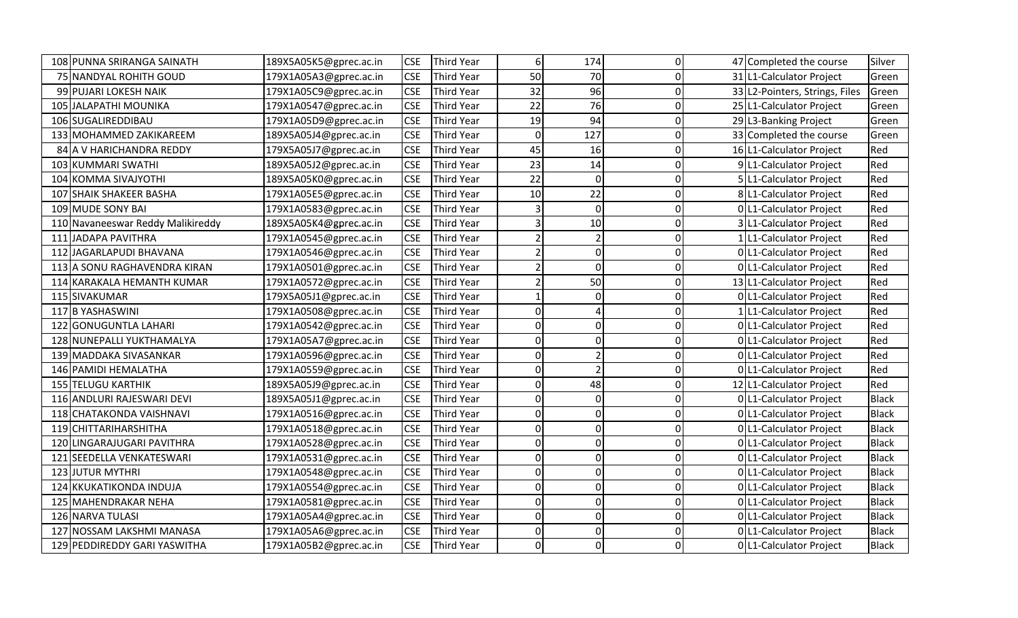|            | 108 PUNNA SRIRANGA SAINATH        | 189X5A05K5@gprec.ac.in | <b>CSE</b> | <b>Third Year</b> | 6              | 174                      | 0 | 47 Completed the course        | Silver       |
|------------|-----------------------------------|------------------------|------------|-------------------|----------------|--------------------------|---|--------------------------------|--------------|
|            | 75 NANDYAL ROHITH GOUD            | 179X1A05A3@gprec.ac.in | <b>CSE</b> | <b>Third Year</b> | 50             | 70                       | O | 31 L1-Calculator Project       | Green        |
|            | 99 PUJARI LOKESH NAIK             | 179X1A05C9@gprec.ac.in | <b>CSE</b> | <b>Third Year</b> | 32             | 96                       | 0 | 33 L2-Pointers, Strings, Files | Green        |
|            | 105 JALAPATHI MOUNIKA             | 179X1A0547@gprec.ac.in | <b>CSE</b> | Third Year        | 22             | 76                       | O | 25 L1-Calculator Project       | Green        |
|            | 106 SUGALIREDDIBAU                | 179X1A05D9@gprec.ac.in | <b>CSE</b> | <b>Third Year</b> | 19             | 94                       | O | 29 L3-Banking Project          | Green        |
|            | 133 MOHAMMED ZAKIKAREEM           | 189X5A05J4@gprec.ac.in | <b>CSE</b> | <b>Third Year</b> | $\overline{0}$ | 127                      | ŋ | 33 Completed the course        | Green        |
|            | 84 A V HARICHANDRA REDDY          | 179X5A05J7@gprec.ac.in | <b>CSE</b> | Third Year        | 45             | 16                       | O | 16 L1-Calculator Project       | Red          |
|            | 103 KUMMARI SWATHI                | 189X5A05J2@gprec.ac.in | <b>CSE</b> | <b>Third Year</b> | 23             | 14                       | O | 9 L1-Calculator Project        | Red          |
|            | 104 KOMMA SIVAJYOTHI              | 189X5A05K0@gprec.ac.in | <b>CSE</b> | Third Year        | 22             | $\Omega$                 | ŋ | 5 L1-Calculator Project        | Red          |
|            | 107 SHAIK SHAKEER BASHA           | 179X1A05E5@gprec.ac.in | <b>CSE</b> | <b>Third Year</b> | 10             | 22                       | O | 8 L1-Calculator Project        | Red          |
|            | 109 MUDE SONY BAI                 | 179X1A0583@gprec.ac.in | <b>CSE</b> | <b>Third Year</b> |                | $\mathbf{0}$             | 0 | 0 L1-Calculator Project        | Red          |
|            | 110 Navaneeswar Reddy Malikireddy | 189X5A05K4@gprec.ac.in | <b>CSE</b> | Third Year        | 3              | 10                       | O | 3 L1-Calculator Project        | Red          |
| 111        | JADAPA PAVITHRA                   | 179X1A0545@gprec.ac.in | <b>CSE</b> | <b>Third Year</b> |                |                          | O | 1 L1-Calculator Project        | Red          |
| 112        | JAGARLAPUDI BHAVANA               | 179X1A0546@gprec.ac.in | <b>CSE</b> | <b>Third Year</b> |                | 0                        | O | 0 L1-Calculator Project        | Red          |
|            | 113 A SONU RAGHAVENDRA KIRAN      | 179X1A0501@gprec.ac.in | <b>CSE</b> | Third Year        |                | 0                        |   | 0 L1-Calculator Project        | Red          |
| 114        | KARAKALA HEMANTH KUMAR            | 179X1A0572@gprec.ac.in | <b>CSE</b> | <b>Third Year</b> |                | 50                       | ŋ | 13 L1-Calculator Project       | Red          |
|            | 115 SIVAKUMAR                     | 179X5A05J1@gprec.ac.in | <b>CSE</b> | Third Year        |                | <sup>0</sup>             |   | 0 L1-Calculator Project        | Red          |
|            | 117 B YASHASWINI                  | 179X1A0508@gprec.ac.in | <b>CSE</b> | <b>Third Year</b> | 0              |                          | ŋ | 1 L1-Calculator Project        | Red          |
| 122        | <b>GONUGUNTLA LAHARI</b>          | 179X1A0542@gprec.ac.in | <b>CSE</b> | <b>Third Year</b> | 0              | 0                        | O | 0 L1-Calculator Project        | Red          |
|            | 128 NUNEPALLI YUKTHAMALYA         | 179X1A05A7@gprec.ac.in | <b>CSE</b> | <b>Third Year</b> | 0              | 0                        | ŋ | 0 L1-Calculator Project        | Red          |
|            | 139 MADDAKA SIVASANKAR            | 179X1A0596@gprec.ac.in | <b>CSE</b> | <b>Third Year</b> | Οl             | $\overline{\phantom{a}}$ | O | 0 L1-Calculator Project        | Red          |
|            | 146 PAMIDI HEMALATHA              | 179X1A0559@gprec.ac.in | <b>CSE</b> | <b>Third Year</b> | 0              |                          | O | 0 L1-Calculator Project        | Red          |
| 155        | <b>TELUGU KARTHIK</b>             | 189X5A05J9@gprec.ac.in | <b>CSE</b> | <b>Third Year</b> | 0              | 48                       | O | 12 L1-Calculator Project       | Red          |
|            | 116 ANDLURI RAJESWARI DEVI        | 189X5A05J1@gprec.ac.in | <b>CSE</b> | <b>Third Year</b> | 0              | 0                        | ŋ | 0 L1-Calculator Project        | <b>Black</b> |
|            | 118 CHATAKONDA VAISHNAVI          | 179X1A0516@gprec.ac.in | <b>CSE</b> | Third Year        | 0              | 0                        |   | 0 L1-Calculator Project        | <b>Black</b> |
|            | 119 CHITTARIHARSHITHA             | 179X1A0518@gprec.ac.in | <b>CSE</b> | <b>Third Year</b> | 0              | 0                        |   | 0 L1-Calculator Project        | <b>Black</b> |
| 120        | LINGARAJUGARI PAVITHRA            | 179X1A0528@gprec.ac.in | <b>CSE</b> | <b>Third Year</b> | 0              | Οl                       | ŋ | 0 L1-Calculator Project        | <b>Black</b> |
| 121        | SEEDELLA VENKATESWARI             | 179X1A0531@gprec.ac.in | <b>CSE</b> | <b>Third Year</b> | 0              | 0                        |   | 0 L1-Calculator Project        | <b>Black</b> |
|            | 123 JUTUR MYTHRI                  | 179X1A0548@gprec.ac.in | <b>CSE</b> | <b>Third Year</b> | 0              | 0                        | n | 0 L1-Calculator Project        | <b>Black</b> |
| <b>124</b> | <b>KKUKATIKONDA INDUJA</b>        | 179X1A0554@gprec.ac.in | <b>CSE</b> | <b>Third Year</b> | 0              | n                        | O | 0 L1-Calculator Project        | <b>Black</b> |
|            | 125 MAHENDRAKAR NEHA              | 179X1A0581@gprec.ac.in | <b>CSE</b> | <b>Third Year</b> | ΩI             | 0                        | O | 0 L1-Calculator Project        | <b>Black</b> |
|            | 126 NARVA TULASI                  | 179X1A05A4@gprec.ac.in | <b>CSE</b> | <b>Third Year</b> | Οl             | ΩI                       | O | 0 L1-Calculator Project        | <b>Black</b> |
| 127        | NOSSAM LAKSHMI MANASA             | 179X1A05A6@gprec.ac.in | <b>CSE</b> | <b>Third Year</b> | 0              | 0                        | O | 0 L1-Calculator Project        | <b>Black</b> |
|            | 129 PEDDIREDDY GARI YASWITHA      | 179X1A05B2@gprec.ac.in | <b>CSE</b> | <b>Third Year</b> | 0              | 0                        |   | 0 L1-Calculator Project        | <b>Black</b> |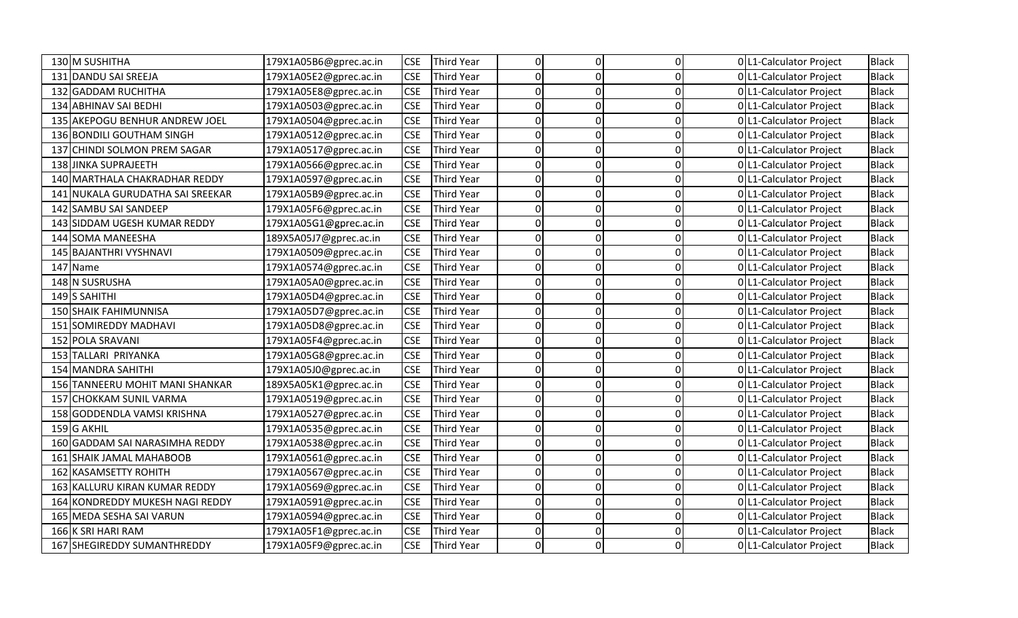| 130 M SUSHITHA                            | 179X1A05B6@gprec.ac.in | <b>CSE</b> | <b>Third Year</b> | Οl       | $\overline{0}$ | 0l       | 0 L1-Calculator Project | <b>Black</b> |
|-------------------------------------------|------------------------|------------|-------------------|----------|----------------|----------|-------------------------|--------------|
| 131 DANDU SAI SREEJA                      | 179X1A05E2@gprec.ac.in | <b>CSE</b> | <b>Third Year</b> | O        | $\Omega$       | 0        | 0 L1-Calculator Project | <b>Black</b> |
| <b>GADDAM RUCHITHA</b><br>132             | 179X1A05E8@gprec.ac.in | <b>CSE</b> | <b>Third Year</b> | O        | $\Omega$       | U        | 0 L1-Calculator Project | <b>Black</b> |
| 134 ABHINAV SAI BEDHI                     | 179X1A0503@gprec.ac.in | <b>CSE</b> | <b>Third Year</b> | 0        | 0              |          | 0 L1-Calculator Project | <b>Black</b> |
| AKEPOGU BENHUR ANDREW JOEL<br>135         | 179X1A0504@gprec.ac.in | <b>CSE</b> | Third Year        | O        | 0              | 0        | 0 L1-Calculator Project | <b>Black</b> |
| 136 BONDILI GOUTHAM SINGH                 | 179X1A0512@gprec.ac.in | <b>CSE</b> | <b>Third Year</b> | O        | 0              | ŋ        | 0 L1-Calculator Project | <b>Black</b> |
| <b>CHINDI SOLMON PREM SAGAR</b><br>137    | 179X1A0517@gprec.ac.in | <b>CSE</b> | <b>Third Year</b> | 0        | 0              | n        | 0 L1-Calculator Project | <b>Black</b> |
| <b>JINKA SUPRAJEETH</b><br>138            | 179X1A0566@gprec.ac.in | <b>CSE</b> | <b>Third Year</b> | 0        | $\Omega$       | U        | 0 L1-Calculator Project | <b>Black</b> |
| 140 MARTHALA CHAKRADHAR REDDY             | 179X1A0597@gprec.ac.in | <b>CSE</b> | <b>Third Year</b> | 0        | 0              | $\Omega$ | 0 L1-Calculator Project | <b>Black</b> |
| NUKALA GURUDATHA SAI SREEKAR<br>141       | 179X1A05B9@gprec.ac.in | <b>CSE</b> | <b>Third Year</b> | 0        | ΩI             | 0        | 0 L1-Calculator Project | <b>Black</b> |
| <b>SAMBU SAI SANDEEP</b><br>142           | 179X1A05F6@gprec.ac.in | <b>CSE</b> | <b>Third Year</b> | O        | 0              | 0        | 0 L1-Calculator Project | <b>Black</b> |
| SIDDAM UGESH KUMAR REDDY<br>143           | 179X1A05G1@gprec.ac.in | <b>CSE</b> | Third Year        | $\Omega$ | 0              | U        | 0 L1-Calculator Project | <b>Black</b> |
| <b>SOMA MANEESHA</b><br>144               | 189X5A05J7@gprec.ac.in | <b>CSE</b> | <b>Third Year</b> | 0        | 0              | U        | 0 L1-Calculator Project | <b>Black</b> |
| 145 BAJANTHRI VYSHNAVI                    | 179X1A0509@gprec.ac.in | <b>CSE</b> | <b>Third Year</b> | O        | $\Omega$       |          | 0 L1-Calculator Project | <b>Black</b> |
| 147 Name                                  | 179X1A0574@gprec.ac.in | <b>CSE</b> | <b>Third Year</b> | 0        | $\Omega$       |          | 0 L1-Calculator Project | <b>Black</b> |
| N SUSRUSHA<br>148                         | 179X1A05A0@gprec.ac.in | <b>CSE</b> | Third Year        | O        | 0              | n        | 0 L1-Calculator Project | <b>Black</b> |
| 149 S SAHITHI                             | 179X1A05D4@gprec.ac.in | <b>CSE</b> | <b>Third Year</b> | 0        | $\Omega$       | ŋ        | 0 L1-Calculator Project | <b>Black</b> |
| 150 SHAIK FAHIMUNNISA                     | 179X1A05D7@gprec.ac.in | <b>CSE</b> | <b>Third Year</b> | 0        | 0              | U        | 0 L1-Calculator Project | <b>Black</b> |
| <b>SOMIREDDY MADHAVI</b><br>151           | 179X1A05D8@gprec.ac.in | <b>CSE</b> | <b>Third Year</b> | 0        | $\Omega$       |          | 0 L1-Calculator Project | <b>Black</b> |
| 152 POLA SRAVANI                          | 179X1A05F4@gprec.ac.in | <b>CSE</b> | <b>Third Year</b> | 0        | 0              | ŋ        | 0 L1-Calculator Project | <b>Black</b> |
| TALLARI PRIYANKA<br>153                   | 179X1A05G8@gprec.ac.in | <b>CSE</b> | <b>Third Year</b> | 0        | 0              | 0        | 0 L1-Calculator Project | <b>Black</b> |
| <b>MANDRA SAHITHI</b><br>154              | 179X1A05J0@gprec.ac.in | <b>CSE</b> | <b>Third Year</b> | O        | $\Omega$       | O        | 0 L1-Calculator Project | <b>Black</b> |
| TANNEERU MOHIT MANI SHANKAR<br><b>156</b> | 189X5A05K1@gprec.ac.in | <b>CSE</b> | <b>Third Year</b> | 0        | 0              | 0        | 0 L1-Calculator Project | <b>Black</b> |
| <b>CHOKKAM SUNIL VARMA</b><br>157         | 179X1A0519@gprec.ac.in | <b>CSE</b> | <b>Third Year</b> | 0        | 0              | U        | 0 L1-Calculator Project | <b>Black</b> |
| <b>GODDENDLA VAMSI KRISHNA</b><br>158     | 179X1A0527@gprec.ac.in | <b>CSE</b> | Third Year        | 0        | 0              |          | 0 L1-Calculator Project | <b>Black</b> |
| 159 G AKHIL                               | 179X1A0535@gprec.ac.in | <b>CSE</b> | <b>Third Year</b> | O        | $\Omega$       | n        | 0 L1-Calculator Project | <b>Black</b> |
| 160 GADDAM SAI NARASIMHA REDDY            | 179X1A0538@gprec.ac.in | <b>CSE</b> | <b>Third Year</b> | O        | 0              | n        | 0 L1-Calculator Project | <b>Black</b> |
| <b>SHAIK JAMAL MAHABOOB</b><br>161        | 179X1A0561@gprec.ac.in | <b>CSE</b> | Third Year        | 0        | 0              | n        | 0 L1-Calculator Project | <b>Black</b> |
| <b>KASAMSETTY ROHITH</b><br>162           | 179X1A0567@gprec.ac.in | <b>CSE</b> | <b>Third Year</b> | 0        | $\Omega$       | O        | 0 L1-Calculator Project | <b>Black</b> |
| KALLURU KIRAN KUMAR REDDY<br>163          | 179X1A0569@gprec.ac.in | <b>CSE</b> | <b>Third Year</b> | 0        | 0              |          | 0 L1-Calculator Project | <b>Black</b> |
| KONDREDDY MUKESH NAGI REDDY<br>164        | 179X1A0591@gprec.ac.in | <b>CSE</b> | <b>Third Year</b> | 0        | 0              | 0        | 0 L1-Calculator Project | <b>Black</b> |
| MEDA SESHA SAI VARUN<br>165               | 179X1A0594@gprec.ac.in | <b>CSE</b> | <b>Third Year</b> | 0        | $\Omega$       | 0        | 0 L1-Calculator Project | <b>Black</b> |
| 166 K SRI HARI RAM                        | 179X1A05F1@gprec.ac.in | <b>CSE</b> | Third Year        | 0        | $\mathbf{0}$   | $\Omega$ | 0 L1-Calculator Project | <b>Black</b> |
| 167 SHEGIREDDY SUMANTHREDDY               | 179X1A05F9@gprec.ac.in | <b>CSE</b> | <b>Third Year</b> | 0        | 0              | $\Omega$ | 0 L1-Calculator Project | <b>Black</b> |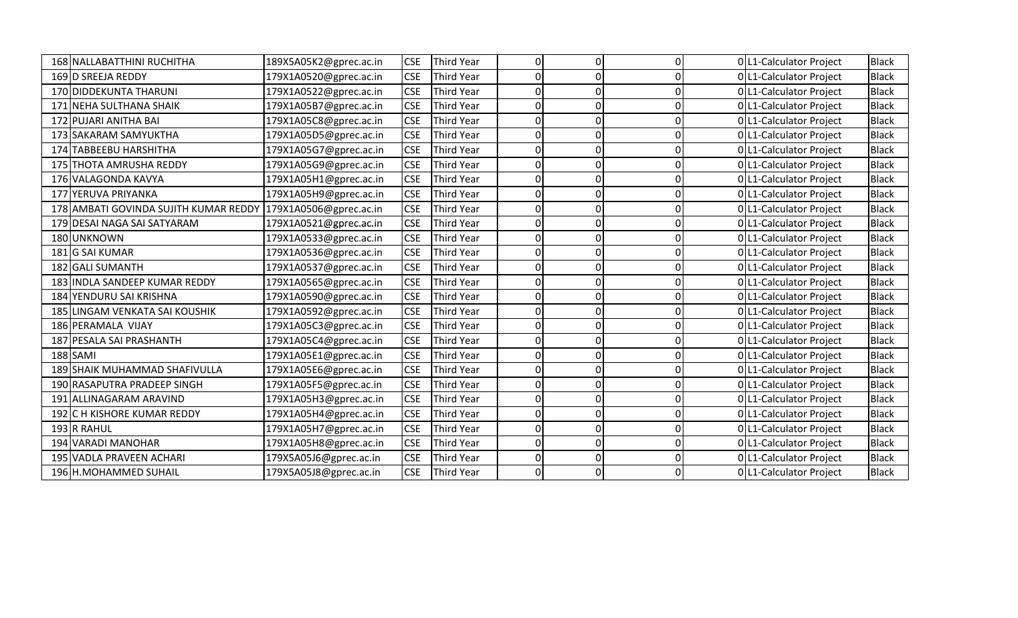|     | 168 NALLABATTHINI RUCHITHA        | 189X5A05K2@gprec.ac.in | <b>CSE</b> | <b>Third Year</b> |   | 0 |  | 0 L1-Calculator Project | <b>Black</b> |
|-----|-----------------------------------|------------------------|------------|-------------------|---|---|--|-------------------------|--------------|
|     | 169 D SREEJA REDDY                | 179X1A0520@gprec.ac.in | <b>CSE</b> | <b>Third Year</b> |   | ი |  | 0 L1-Calculator Project | <b>Black</b> |
|     | 170 DIDDEKUNTA THARUNI            | 179X1A0522@gprec.ac.in | <b>CSE</b> | <b>Third Year</b> |   | ი |  | 0 L1-Calculator Project | <b>Black</b> |
| 171 | NEHA SULTHANA SHAIK               | 179X1A05B7@gprec.ac.in | <b>CSE</b> | Third Year        |   | U |  | 0 L1-Calculator Project | <b>Black</b> |
|     | 172 PUJARI ANITHA BAI             | 179X1A05C8@gprec.ac.in | <b>CSE</b> | <b>Third Year</b> |   | ი |  | 0 L1-Calculator Project | <b>Black</b> |
|     | 173 SAKARAM SAMYUKTHA             | 179X1A05D5@gprec.ac.in | <b>CSE</b> | <b>Third Year</b> |   | U |  | 0 L1-Calculator Project | <b>Black</b> |
|     | 174 TABBEEBU HARSHITHA            | 179X1A05G7@gprec.ac.in | <b>CSE</b> | <b>Third Year</b> |   | O |  | 0 L1-Calculator Project | <b>Black</b> |
|     | 175 THOTA AMRUSHA REDDY           | 179X1A05G9@gprec.ac.in | <b>CSE</b> | Third Year        |   | n |  | 0 L1-Calculator Project | <b>Black</b> |
|     | 176 VALAGONDA KAVYA               | 179X1A05H1@gprec.ac.in | <b>CSE</b> | <b>Third Year</b> |   | n |  | 0 L1-Calculator Project | <b>Black</b> |
| 177 | <b>YERUVA PRIYANKA</b>            | 179X1A05H9@gprec.ac.in | <b>CSE</b> | <b>Third Year</b> |   | n |  | 0 L1-Calculator Project | <b>Black</b> |
| 178 | AMBATI GOVINDA SUJITH KUMAR REDDY | 179X1A0506@gprec.ac.in | <b>CSE</b> | <b>Third Year</b> |   | O |  | 0 L1-Calculator Project | <b>Black</b> |
|     | 179 DESAI NAGA SAI SATYARAM       | 179X1A0521@gprec.ac.in | <b>CSE</b> | <b>Third Year</b> |   | n |  | 0 L1-Calculator Project | <b>Black</b> |
|     | 180 UNKNOWN                       | 179X1A0533@gprec.ac.in | <b>CSE</b> | <b>Third Year</b> |   | n |  | 0 L1-Calculator Project | <b>Black</b> |
|     | 181 G SAI KUMAR                   | 179X1A0536@gprec.ac.in | <b>CSE</b> | <b>Third Year</b> |   | U |  | 0 L1-Calculator Project | <b>Black</b> |
|     | 182 GALI SUMANTH                  | 179X1A0537@gprec.ac.in | <b>CSE</b> | <b>Third Year</b> |   | n |  | 0 L1-Calculator Project | <b>Black</b> |
|     | 183 INDLA SANDEEP KUMAR REDDY     | 179X1A0565@gprec.ac.in | <b>CSE</b> | <b>Third Year</b> |   | O |  | 0 L1-Calculator Project | <b>Black</b> |
|     | 184 YENDURU SAI KRISHNA           | 179X1A0590@gprec.ac.in | <b>CSE</b> | <b>Third Year</b> |   | ი |  | 0 L1-Calculator Project | <b>Black</b> |
| 185 | LINGAM VENKATA SAI KOUSHIK        | 179X1A0592@gprec.ac.in | <b>CSE</b> | <b>Third Year</b> |   | U |  | 0 L1-Calculator Project | <b>Black</b> |
|     | 186 PERAMALA VIJAY                | 179X1A05C3@gprec.ac.in | <b>CSE</b> | <b>Third Year</b> |   | ი |  | 0 L1-Calculator Project | <b>Black</b> |
| 187 | <b>PESALA SAI PRASHANTH</b>       | 179X1A05C4@gprec.ac.in | <b>CSE</b> | <b>Third Year</b> |   | O |  | 0 L1-Calculator Project | <b>Black</b> |
|     | 188 SAMI                          | 179X1A05E1@gprec.ac.in | <b>CSE</b> | <b>Third Year</b> | O | O |  | 0 L1-Calculator Project | <b>Black</b> |
|     | 189 SHAIK MUHAMMAD SHAFIVULLA     | 179X1A05E6@gprec.ac.in | <b>CSE</b> | Third Year        |   | n |  | 0 L1-Calculator Project | <b>Black</b> |
|     | 190 RASAPUTRA PRADEEP SINGH       | 179X1A05F5@gprec.ac.in | <b>CSE</b> | <b>Third Year</b> |   | 0 |  | 0 L1-Calculator Project | <b>Black</b> |
|     | 191 ALLINAGARAM ARAVIND           | 179X1A05H3@gprec.ac.in | <b>CSE</b> | <b>Third Year</b> |   | ი |  | 0 L1-Calculator Project | <b>Black</b> |
| 192 | <b>CH KISHORE KUMAR REDDY</b>     | 179X1A05H4@gprec.ac.in | <b>CSE</b> | <b>Third Year</b> |   | O |  | 0 L1-Calculator Project | Black        |
|     | 193 R RAHUL                       | 179X1A05H7@gprec.ac.in | <b>CSE</b> | <b>Third Year</b> |   | n |  | 0 L1-Calculator Project | <b>Black</b> |
| 194 | <b>VARADI MANOHAR</b>             | 179X1A05H8@gprec.ac.in | <b>CSE</b> | <b>Third Year</b> |   | O |  | 0 L1-Calculator Project | <b>Black</b> |
| 195 | <b>VADLA PRAVEEN ACHARI</b>       | 179X5A05J6@gprec.ac.in | <b>CSE</b> | <b>Third Year</b> | ი | 0 |  | 0 L1-Calculator Project | <b>Black</b> |
|     | 196 H.MOHAMMED SUHAIL             | 179X5A05J8@gprec.ac.in | <b>CSE</b> | <b>Third Year</b> |   | 0 |  | 0 L1-Calculator Project | <b>Black</b> |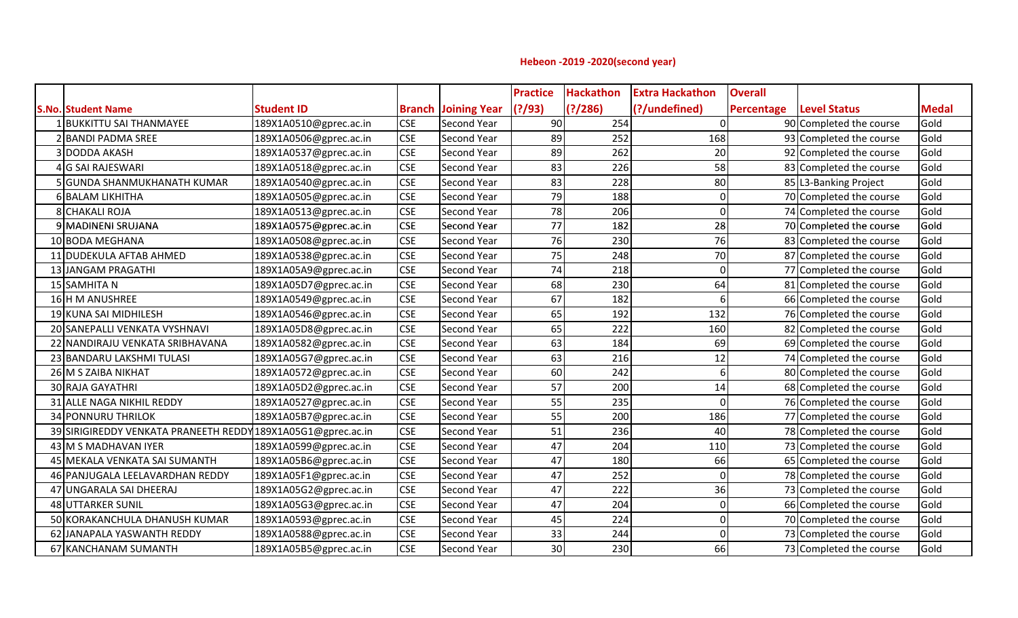## **Hebeon -2019 -2020(second year)**

|                                                              |                        |            |                            | <b>Practice</b> | <b>Hackathon</b> | <b>Extra Hackathon</b> | <b>Overall</b>    |                         |              |
|--------------------------------------------------------------|------------------------|------------|----------------------------|-----------------|------------------|------------------------|-------------------|-------------------------|--------------|
| <b>S.No. Student Name</b>                                    | <b>Student ID</b>      |            | <b>Branch Joining Year</b> | (?)/93)         | (?)/286)         | (?/undefined)          | <b>Percentage</b> | <b>Level Status</b>     | <b>Medal</b> |
| LlBUKKITTU SAI THANMAYEE                                     | 189X1A0510@gprec.ac.in | <b>CSE</b> | Second Year                | 90              | 254              | $\Omega$               |                   | 90 Completed the course | Gold         |
| 2 BANDI PADMA SREE                                           | 189X1A0506@gprec.ac.in | <b>CSE</b> | Second Year                | 89              | 252              | 168                    |                   | 93 Completed the course | Gold         |
| 3 DODDA AKASH                                                | 189X1A0537@gprec.ac.in | <b>CSE</b> | Second Year                | 89              | 262              | 20                     |                   | 92 Completed the course | Gold         |
| 4 G SAI RAJESWARI                                            | 189X1A0518@gprec.ac.in | <b>CSE</b> | Second Year                | 83              | 226              | 58                     |                   | 83 Completed the course | Gold         |
| 5 GUNDA SHANMUKHANATH KUMAR                                  | 189X1A0540@gprec.ac.in | <b>CSE</b> | Second Year                | 83              | 228              | 80                     |                   | 85 L3-Banking Project   | Gold         |
| 6 BALAM LIKHITHA                                             | 189X1A0505@gprec.ac.in | <b>CSE</b> | Second Year                | 79              | 188              | 0                      |                   | 70 Completed the course | Gold         |
| <b>8 CHAKALI ROJA</b>                                        | 189X1A0513@gprec.ac.in | <b>CSE</b> | Second Year                | 78              | 206              | 0                      |                   | 74 Completed the course | Gold         |
| 9 MADINENI SRUJANA                                           | 189X1A0575@gprec.ac.in | <b>CSE</b> | Second Year                | 77              | 182              | 28                     |                   | 70 Completed the course | Gold         |
| 10 BODA MEGHANA                                              | 189X1A0508@gprec.ac.in | <b>CSE</b> | Second Year                | 76              | 230              | 76                     |                   | 83 Completed the course | Gold         |
| 11 DUDEKULA AFTAB AHMED                                      | 189X1A0538@gprec.ac.in | <b>CSE</b> | Second Year                | 75              | 248              | 70                     |                   | 87 Completed the course | Gold         |
| 13 JANGAM PRAGATHI                                           | 189X1A05A9@gprec.ac.in | <b>CSE</b> | Second Year                | 74              | 218              | $\Omega$               |                   | 77 Completed the course | Gold         |
| 15 SAMHITA N                                                 | 189X1A05D7@gprec.ac.in | <b>CSE</b> | Second Year                | 68              | 230              | 64                     |                   | 81 Completed the course | Gold         |
| 16 H M ANUSHREE                                              | 189X1A0549@gprec.ac.in | <b>CSE</b> | Second Year                | 67              | 182              |                        |                   | 66 Completed the course | Gold         |
| 19 KUNA SAI MIDHILESH                                        | 189X1A0546@gprec.ac.in | <b>CSE</b> | Second Year                | 65              | 192              | 132                    |                   | 76 Completed the course | Gold         |
| 20 SANEPALLI VENKATA VYSHNAVI                                | 189X1A05D8@gprec.ac.in | <b>CSE</b> | Second Year                | 65              | 222              | 160                    |                   | 82 Completed the course | Gold         |
| 22 NANDIRAJU VENKATA SRIBHAVANA                              | 189X1A0582@gprec.ac.in | <b>CSE</b> | Second Year                | 63              | 184              | 69                     |                   | 69 Completed the course | Gold         |
| 23 BANDARU LAKSHMI TULASI                                    | 189X1A05G7@gprec.ac.in | <b>CSE</b> | Second Year                | 63              | 216              | 12                     |                   | 74 Completed the course | Gold         |
| 26 M S ZAIBA NIKHAT                                          | 189X1A0572@gprec.ac.in | <b>CSE</b> | Second Year                | 60              | 242              | 6                      |                   | 80 Completed the course | Gold         |
| 30 RAJA GAYATHRI                                             | 189X1A05D2@gprec.ac.in | <b>CSE</b> | Second Year                | 57              | 200              | 14                     |                   | 68 Completed the course | Gold         |
| 31 ALLE NAGA NIKHIL REDDY                                    | 189X1A0527@gprec.ac.in | <b>CSE</b> | Second Year                | 55              | 235              | $\Omega$               |                   | 76 Completed the course | Gold         |
| 34 PONNURU THRILOK                                           | 189X1A05B7@gprec.ac.in | <b>CSE</b> | Second Year                | 55              | 200              | 186                    |                   | 77 Completed the course | Gold         |
| 39 SIRIGIREDDY VENKATA PRANEETH REDDY 189X1A05G1@gprec.ac.in |                        | <b>CSE</b> | Second Year                | 51              | 236              | 40                     |                   | 78 Completed the course | Gold         |
| 43 M S MADHAVAN IYER                                         | 189X1A0599@gprec.ac.in | <b>CSE</b> | Second Year                | 47              | 204              | 110                    |                   | 73 Completed the course | Gold         |
| 45 MEKALA VENKATA SAI SUMANTH                                | 189X1A05B6@gprec.ac.in | <b>CSE</b> | Second Year                | 47              | 180              | 66                     |                   | 65 Completed the course | Gold         |
| 46 PANJUGALA LEELAVARDHAN REDDY                              | 189X1A05F1@gprec.ac.in | <b>CSE</b> | Second Year                | 47              | 252              | $\Omega$               |                   | 78 Completed the course | Gold         |
| 47 UNGARALA SAI DHEERAJ                                      | 189X1A05G2@gprec.ac.in | <b>CSE</b> | Second Year                | 47              | 222              | 36                     |                   | 73 Completed the course | Gold         |
| 48 UTTARKER SUNIL                                            | 189X1A05G3@gprec.ac.in | <b>CSE</b> | Second Year                | 47              | 204              | $\Omega$               |                   | 66 Completed the course | Gold         |
| 50 KORAKANCHULA DHANUSH KUMAR                                | 189X1A0593@gprec.ac.in | <b>CSE</b> | Second Year                | 45              | 224              | O                      |                   | 70 Completed the course | Gold         |
| 62 JANAPALA YASWANTH REDDY                                   | 189X1A0588@gprec.ac.in | <b>CSE</b> | Second Year                | 33              | 244              | $\Omega$               |                   | 73 Completed the course | Gold         |
| 67 KANCHANAM SUMANTH                                         | 189X1A05B5@gprec.ac.in | <b>CSE</b> | Second Year                | 30              | 230              | 66                     |                   | 73 Completed the course | Gold         |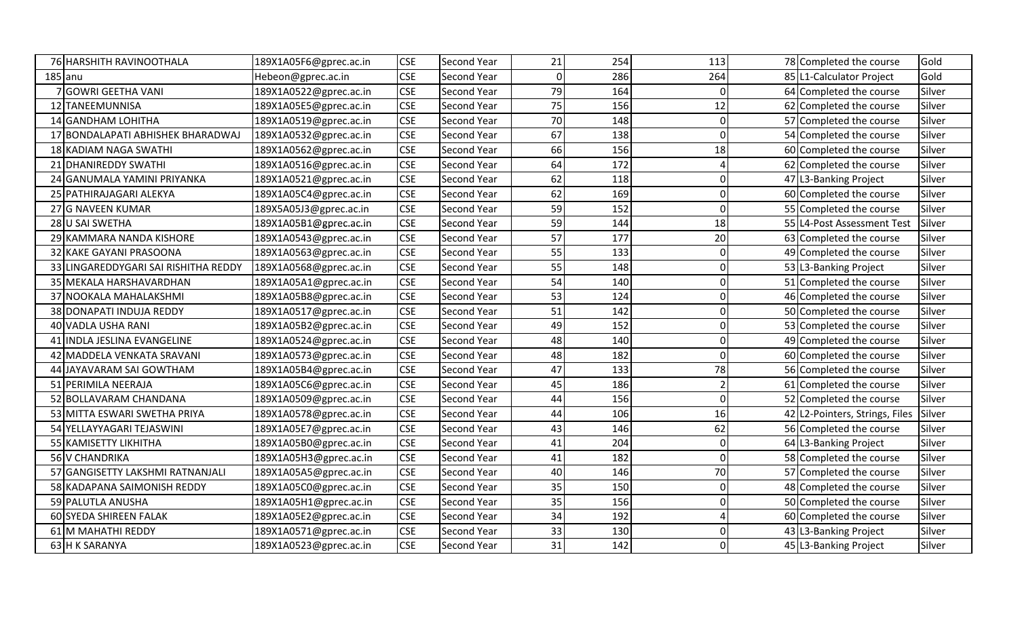|                 | 76 HARSHITH RAVINOOTHALA              | 189X1A05F6@gprec.ac.in | <b>CSE</b> | <b>Second Year</b> | 21       | 254 | 113      | 78 Completed the course        | Gold   |
|-----------------|---------------------------------------|------------------------|------------|--------------------|----------|-----|----------|--------------------------------|--------|
| $185$ anu       |                                       | Hebeon@gprec.ac.in     | <b>CSE</b> | Second Year        | $\Omega$ | 286 | 264      | 85 L1-Calculator Project       | Gold   |
|                 | 7 GOWRI GEETHA VANI                   | 189X1A0522@gprec.ac.in | <b>CSE</b> | Second Year        | 79       | 164 | $\Omega$ | 64 Completed the course        | Silver |
|                 | 12 TANEEMUNNISA                       | 189X1A05E5@gprec.ac.in | <b>CSE</b> | Second Year        | 75       | 156 | 12       | 62 Completed the course        | Silver |
|                 | 14 GANDHAM LOHITHA                    | 189X1A0519@gprec.ac.in | <b>CSE</b> | <b>Second Year</b> | 70       | 148 | $\Omega$ | 57 Completed the course        | Silver |
| 17 <sup>1</sup> | <b>BONDALAPATI ABHISHEK BHARADWAJ</b> | 189X1A0532@gprec.ac.in | <b>CSE</b> | Second Year        | 67       | 138 | $\Omega$ | 54 Completed the course        | Silver |
|                 | 18 KADIAM NAGA SWATHI                 | 189X1A0562@gprec.ac.in | <b>CSE</b> | <b>Second Year</b> | 66       | 156 | 18       | 60 Completed the course        | Silver |
|                 | 21 DHANIREDDY SWATHI                  | 189X1A0516@gprec.ac.in | <b>CSE</b> | Second Year        | 64       | 172 |          | 62 Completed the course        | Silver |
|                 | 24 GANUMALA YAMINI PRIYANKA           | 189X1A0521@gprec.ac.in | <b>CSE</b> | <b>Second Year</b> | 62       | 118 |          | 47 L3-Banking Project          | Silver |
|                 | 25 PATHIRAJAGARI ALEKYA               | 189X1A05C4@gprec.ac.in | <b>CSE</b> | <b>Second Year</b> | 62       | 169 | $\Omega$ | 60 Completed the course        | Silver |
|                 | 27 G NAVEEN KUMAR                     | 189X5A05J3@gprec.ac.in | <b>CSE</b> | Second Year        | 59       | 152 | $\Omega$ | 55 Completed the course        | Silver |
|                 | 28 U SAI SWETHA                       | 189X1A05B1@gprec.ac.in | <b>CSE</b> | Second Year        | 59       | 144 | 18       | 55 L4-Post Assessment Test     | Silver |
|                 | 29 KAMMARA NANDA KISHORE              | 189X1A0543@gprec.ac.in | <b>CSE</b> | <b>Second Year</b> | 57       | 177 | 20       | 63 Completed the course        | Silver |
|                 | 32 KAKE GAYANI PRASOONA               | 189X1A0563@gprec.ac.in | <b>CSE</b> | Second Year        | 55       | 133 | $\Omega$ | 49 Completed the course        | Silver |
|                 | 33 LINGAREDDYGARI SAI RISHITHA REDDY  | 189X1A0568@gprec.ac.in | <b>CSE</b> | <b>Second Year</b> | 55       | 148 |          | 53 L3-Banking Project          | Silver |
|                 | 35 MEKALA HARSHAVARDHAN               | 189X1A05A1@gprec.ac.in | <b>CSE</b> | <b>Second Year</b> | 54       | 140 |          | 51 Completed the course        | Silver |
|                 | 37 NOOKALA MAHALAKSHMI                | 189X1A05B8@gprec.ac.in | <b>CSE</b> | Second Year        | 53       | 124 |          | 46 Completed the course        | Silver |
|                 | 38 DONAPATI INDUJA REDDY              | 189X1A0517@gprec.ac.in | <b>CSE</b> | <b>Second Year</b> | 51       | 142 |          | 50 Completed the course        | Silver |
|                 | 40 VADLA USHA RANI                    | 189X1A05B2@gprec.ac.in | <b>CSE</b> | <b>Second Year</b> | 49       | 152 |          | 53 Completed the course        | Silver |
|                 | 41 INDLA JESLINA EVANGELINE           | 189X1A0524@gprec.ac.in | <b>CSE</b> | <b>Second Year</b> | 48       | 140 | $\Omega$ | 49 Completed the course        | Silver |
|                 | 42 MADDELA VENKATA SRAVANI            | 189X1A0573@gprec.ac.in | <b>CSE</b> | Second Year        | 48       | 182 | $\Omega$ | 60 Completed the course        | Silver |
|                 | 44 JAYAVARAM SAI GOWTHAM              | 189X1A05B4@gprec.ac.in | <b>CSE</b> | Second Year        | 47       | 133 | 78       | 56 Completed the course        | Silver |
|                 | 51 PERIMILA NEERAJA                   | 189X1A05C6@gprec.ac.in | <b>CSE</b> | <b>Second Year</b> | 45       | 186 |          | 61 Completed the course        | Silver |
|                 | 52 BOLLAVARAM CHANDANA                | 189X1A0509@gprec.ac.in | <b>CSE</b> | <b>Second Year</b> | 44       | 156 | $\Omega$ | 52 Completed the course        | Silver |
|                 | 53 MITTA ESWARI SWETHA PRIYA          | 189X1A0578@gprec.ac.in | <b>CSE</b> | Second Year        | 44       | 106 | 16       | 42 L2-Pointers, Strings, Files | Silver |
|                 | 54 YELLAYYAGARI TEJASWINI             | 189X1A05E7@gprec.ac.in | <b>CSE</b> | <b>Second Year</b> | 43       | 146 | 62       | 56 Completed the course        | Silver |
|                 | 55 KAMISETTY LIKHITHA                 | 189X1A05B0@gprec.ac.in | <b>CSE</b> | Second Year        | 41       | 204 | $\Omega$ | 64 L3-Banking Project          | Silver |
|                 | 56 V CHANDRIKA                        | 189X1A05H3@gprec.ac.in | <b>CSE</b> | Second Year        | 41       | 182 | $\Omega$ | 58 Completed the course        | Silver |
|                 | 57 GANGISETTY LAKSHMI RATNANJALI      | 189X1A05A5@gprec.ac.in | <b>CSE</b> | Second Year        | 40       | 146 | 70       | 57 Completed the course        | Silver |
|                 | 58 KADAPANA SAIMONISH REDDY           | 189X1A05C0@gprec.ac.in | <b>CSE</b> | Second Year        | 35       | 150 |          | 48 Completed the course        | Silver |
|                 | 59 PALUTLA ANUSHA                     | 189X1A05H1@gprec.ac.in | <b>CSE</b> | Second Year        | 35       | 156 |          | 50 Completed the course        | Silver |
|                 | 60 SYEDA SHIREEN FALAK                | 189X1A05E2@gprec.ac.in | <b>CSE</b> | Second Year        | 34       | 192 |          | 60 Completed the course        | Silver |
|                 | 61 M MAHATHI REDDY                    | 189X1A0571@gprec.ac.in | <b>CSE</b> | Second Year        | 33       | 130 |          | 43 L3-Banking Project          | Silver |
|                 | 63 H K SARANYA                        | 189X1A0523@gprec.ac.in | <b>CSE</b> | Second Year        | 31       | 142 |          | 45 L3-Banking Project          | Silver |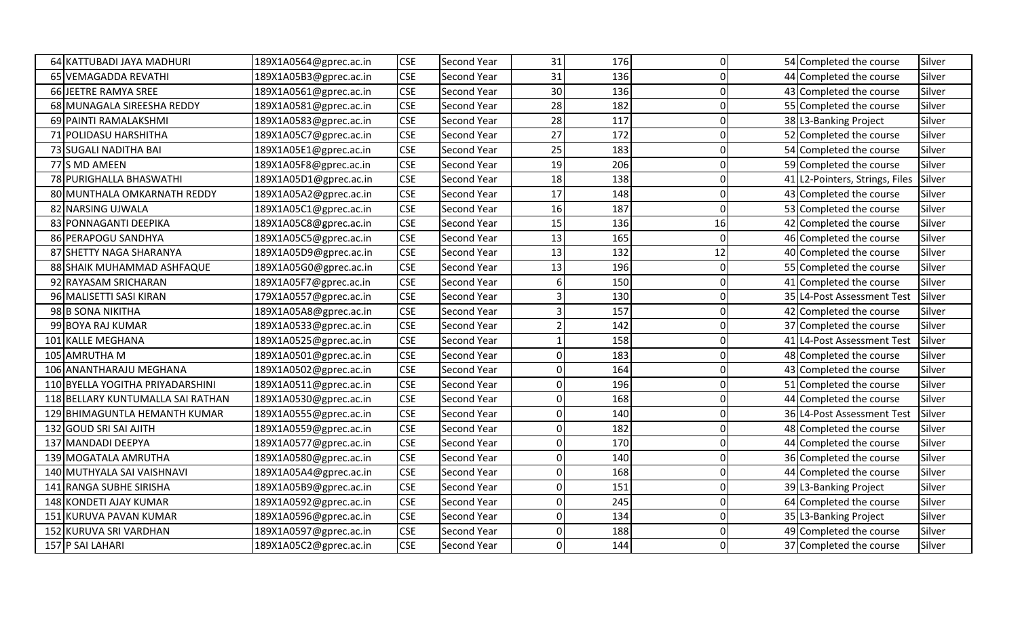| 64 KATTUBADI JAYA MADHURI         | 189X1A0564@gprec.ac.in | <b>CSE</b> | <b>Second Year</b> | 31             | 176 | $\Omega$ | 54 Completed the course        | Silver |
|-----------------------------------|------------------------|------------|--------------------|----------------|-----|----------|--------------------------------|--------|
| 65 VEMAGADDA REVATHI              | 189X1A05B3@gprec.ac.in | <b>CSE</b> | Second Year        | 31             | 136 | $\Omega$ | 44 Completed the course        | Silver |
| 66 JEETRE RAMYA SREE              | 189X1A0561@gprec.ac.in | <b>CSE</b> | Second Year        | 30             | 136 |          | 43 Completed the course        | Silver |
| 68 MUNAGALA SIREESHA REDDY        | 189X1A0581@gprec.ac.in | <b>CSE</b> | <b>Second Year</b> | 28             | 182 |          | 55 Completed the course        | Silver |
| 69 PAINTI RAMALAKSHMI             | 189X1A0583@gprec.ac.in | <b>CSE</b> | Second Year        | 28             | 117 | $\Omega$ | 38 L3-Banking Project          | Silver |
| 71 POLIDASU HARSHITHA             | 189X1A05C7@gprec.ac.in | <b>CSE</b> | Second Year        | 27             | 172 |          | 52 Completed the course        | Silver |
| 73 SUGALI NADITHA BAI             | 189X1A05E1@gprec.ac.in | <b>CSE</b> | <b>Second Year</b> | 25             | 183 |          | 54 Completed the course        | Silver |
| 77 S MD AMEEN                     | 189X1A05F8@gprec.ac.in | <b>CSE</b> | Second Year        | 19             | 206 | ∩        | 59 Completed the course        | Silver |
| 78 PURIGHALLA BHASWATHI           | 189X1A05D1@gprec.ac.in | <b>CSE</b> | <b>Second Year</b> | 18             | 138 | $\Omega$ | 41 L2-Pointers, Strings, Files | Silver |
| 80 MUNTHALA OMKARNATH REDDY       | 189X1A05A2@gprec.ac.in | <b>CSE</b> | Second Year        | 17             | 148 | $\Omega$ | 43 Completed the course        | Silver |
| 82 NARSING UJWALA                 | 189X1A05C1@gprec.ac.in | <b>CSE</b> | Second Year        | 16             | 187 | $\Omega$ | 53 Completed the course        | Silver |
| 83 PONNAGANTI DEEPIKA             | 189X1A05C8@gprec.ac.in | <b>CSE</b> | Second Year        | 15             | 136 | 16       | 42 Completed the course        | Silver |
| 86 PERAPOGU SANDHYA               | 189X1A05C5@gprec.ac.in | <b>CSE</b> | Second Year        | 13             | 165 | $\Omega$ | 46 Completed the course        | Silver |
| 87 SHETTY NAGA SHARANYA           | 189X1A05D9@gprec.ac.in | <b>CSE</b> | <b>Second Year</b> | 13             | 132 | 12       | 40 Completed the course        | Silver |
| 88 SHAIK MUHAMMAD ASHFAQUE        | 189X1A05G0@gprec.ac.in | <b>CSE</b> | <b>Second Year</b> | 13             | 196 | $\Omega$ | 55 Completed the course        | Silver |
| 92 RAYASAM SRICHARAN              | 189X1A05F7@gprec.ac.in | <b>CSE</b> | Second Year        |                | 150 |          | 41 Completed the course        | Silver |
| 96 MALISETTI SASI KIRAN           | 179X1A0557@gprec.ac.in | <b>CSE</b> | Second Year        |                | 130 |          | 35 L4-Post Assessment Test     | Silver |
| 98 B SONA NIKITHA                 | 189X1A05A8@gprec.ac.in | <b>CSE</b> | <b>Second Year</b> |                | 157 |          | 42 Completed the course        | Silver |
| 99 BOYA RAJ KUMAR                 | 189X1A0533@gprec.ac.in | <b>CSE</b> | Second Year        |                | 142 |          | 37 Completed the course        | Silver |
| 101 KALLE MEGHANA                 | 189X1A0525@gprec.ac.in | <b>CSE</b> | <b>Second Year</b> |                | 158 | U        | 41 L4-Post Assessment Test     | Silver |
| 105 AMRUTHA M                     | 189X1A0501@gprec.ac.in | <b>CSE</b> | Second Year        | $\Omega$       | 183 | $\Omega$ | 48 Completed the course        | Silver |
| 106 ANANTHARAJU MEGHANA           | 189X1A0502@gprec.ac.in | <b>CSE</b> | Second Year        | O              | 164 |          | 43 Completed the course        | Silver |
| 110 BYELLA YOGITHA PRIYADARSHINI  | 189X1A0511@gprec.ac.in | <b>CSE</b> | Second Year        | ΩI             | 196 | $\Omega$ | 51 Completed the course        | Silver |
| 118 BELLARY KUNTUMALLA SAI RATHAN | 189X1A0530@gprec.ac.in | <b>CSE</b> | Second Year        | $\Omega$       | 168 | $\Omega$ | 44 Completed the course        | Silver |
| 129 BHIMAGUNTLA HEMANTH KUMAR     | 189X1A0555@gprec.ac.in | <b>CSE</b> | Second Year        | ΩI             | 140 |          | 36 L4-Post Assessment Test     | Silver |
| 132 GOUD SRI SAI AJITH            | 189X1A0559@gprec.ac.in | <b>CSE</b> | Second Year        | $\overline{0}$ | 182 |          | 48 Completed the course        | Silver |
| 137 MANDADI DEEPYA                | 189X1A0577@gprec.ac.in | <b>CSE</b> | Second Year        | $\Omega$       | 170 |          | 44 Completed the course        | Silver |
| 139 MOGATALA AMRUTHA              | 189X1A0580@gprec.ac.in | <b>CSE</b> | <b>Second Year</b> | $\Omega$       | 140 |          | 36 Completed the course        | Silver |
| 140 MUTHYALA SAI VAISHNAVI        | 189X1A05A4@gprec.ac.in | <b>CSE</b> | Second Year        | ΩI             | 168 | ∩        | 44 Completed the course        | Silver |
| 141 RANGA SUBHE SIRISHA           | 189X1A05B9@gprec.ac.in | <b>CSE</b> | <b>Second Year</b> | ΩI             | 151 |          | 39 L3-Banking Project          | Silver |
| 148 KONDETI AJAY KUMAR            | 189X1A0592@gprec.ac.in | <b>CSE</b> | <b>Second Year</b> | $\Omega$       | 245 | $\Omega$ | 64 Completed the course        | Silver |
| 151 KURUVA PAVAN KUMAR            | 189X1A0596@gprec.ac.in | <b>CSE</b> | Second Year        | $\overline{0}$ | 134 | $\Omega$ | 35 L3-Banking Project          | Silver |
| 152 KURUVA SRI VARDHAN            | 189X1A0597@gprec.ac.in | <b>CSE</b> | Second Year        | $\Omega$       | 188 | $\Omega$ | 49 Completed the course        | Silver |
| 157 P SAI LAHARI                  | 189X1A05C2@gprec.ac.in | <b>CSE</b> | Second Year        | ΩI             | 144 |          | 37 Completed the course        | Silver |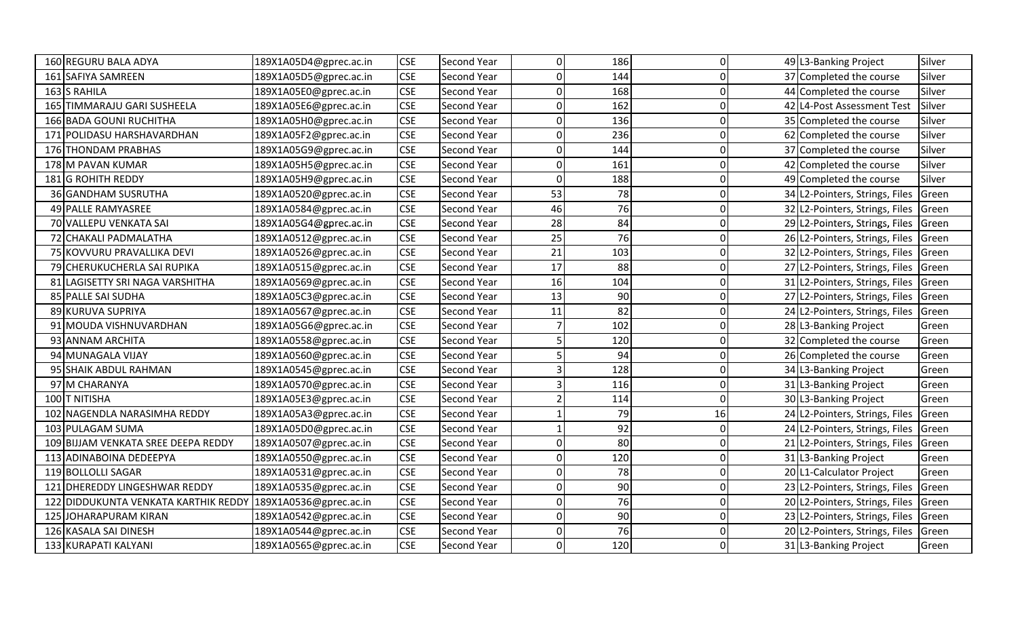|                 | 160 REGURU BALA ADYA                   | 189X1A05D4@gprec.ac.in | <b>CSE</b> | Second Year        | $\Omega$ | 186 | 0            | 49 L3-Banking Project          | Silver |
|-----------------|----------------------------------------|------------------------|------------|--------------------|----------|-----|--------------|--------------------------------|--------|
|                 | 161 SAFIYA SAMREEN                     | 189X1A05D5@gprec.ac.in | <b>CSE</b> | Second Year        | 0        | 144 | $\Omega$     | 37 Completed the course        | Silver |
|                 | 163 S RAHILA                           | 189X1A05E0@gprec.ac.in | <b>CSE</b> | Second Year        | 0        | 168 | $\Omega$     | 44 Completed the course        | Silver |
|                 | 165 TIMMARAJU GARI SUSHEELA            | 189X1A05E6@gprec.ac.in | <b>CSE</b> | Second Year        |          | 162 |              | 42 L4-Post Assessment Test     | Silver |
|                 | 166 BADA GOUNI RUCHITHA                | 189X1A05H0@gprec.ac.in | <b>CSE</b> | <b>Second Year</b> | U        | 136 |              | 35 Completed the course        | Silver |
| 171             | POLIDASU HARSHAVARDHAN                 | 189X1A05F2@gprec.ac.in | <b>CSE</b> | <b>Second Year</b> | O        | 236 | O            | 62 Completed the course        | Silver |
|                 | 176 THONDAM PRABHAS                    | 189X1A05G9@gprec.ac.in | <b>CSE</b> | Second Year        | U        | 144 | O            | 37 Completed the course        | Silver |
|                 | 178 M PAVAN KUMAR                      | 189X1A05H5@gprec.ac.in | <b>CSE</b> | Second Year        | ŋ        | 161 | O            | 42 Completed the course        | Silver |
|                 | 181 G ROHITH REDDY                     | 189X1A05H9@gprec.ac.in | <b>CSE</b> | <b>Second Year</b> | $\Omega$ | 188 |              | 49 Completed the course        | Silver |
|                 | 36 GANDHAM SUSRUTHA                    | 189X1A0520@gprec.ac.in | <b>CSE</b> | <b>Second Year</b> | 53       | 78  | 0            | 34 L2-Pointers, Strings, Files | Green  |
|                 | 49 PALLE RAMYASREE                     | 189X1A0584@gprec.ac.in | <b>CSE</b> | Second Year        | 46       | 76  | $\Omega$     | 32 L2-Pointers, Strings, Files | Green  |
|                 | 70 VALLEPU VENKATA SAI                 | 189X1A05G4@gprec.ac.in | <b>CSE</b> | Second Year        | 28       | 84  | 0            | 29 L2-Pointers, Strings, Files | Green  |
|                 | 72 CHAKALI PADMALATHA                  | 189X1A0512@gprec.ac.in | <b>CSE</b> | <b>Second Year</b> | 25       | 76  | U            | 26 L2-Pointers, Strings, Files | Green  |
|                 | 75 KOVVURU PRAVALLIKA DEVI             | 189X1A0526@gprec.ac.in | <b>CSE</b> | <b>Second Year</b> | 21       | 103 |              | 32 L2-Pointers, Strings, Files | Green  |
|                 | 79 CHERUKUCHERLA SAI RUPIKA            | 189X1A0515@gprec.ac.in | <b>CSE</b> | <b>Second Year</b> | 17       | 88  |              | 27 L2-Pointers, Strings, Files | Green  |
| 81 <sup>I</sup> | LAGISETTY SRI NAGA VARSHITHA           | 189X1A0569@gprec.ac.in | <b>CSE</b> | <b>Second Year</b> | 16       | 104 | O            | 31 L2-Pointers, Strings, Files | Green  |
|                 | 85 PALLE SAI SUDHA                     | 189X1A05C3@gprec.ac.in | <b>CSE</b> | Second Year        | 13       | 90  | O            | 27 L2-Pointers, Strings, Files | Green  |
|                 | 89 KURUVA SUPRIYA                      | 189X1A0567@gprec.ac.in | <b>CSE</b> | <b>Second Year</b> | 11       | 82  | O            | 24 L2-Pointers, Strings, Files | Green  |
|                 | 91 MOUDA VISHNUVARDHAN                 | 189X1A05G6@gprec.ac.in | <b>CSE</b> | <b>Second Year</b> |          | 102 | O            | 28 L3-Banking Project          | Green  |
|                 | 93 ANNAM ARCHITA                       | 189X1A0558@gprec.ac.in | <b>CSE</b> | <b>Second Year</b> |          | 120 | U            | 32 Completed the course        | Green  |
|                 | 94 MUNAGALA VIJAY                      | 189X1A0560@gprec.ac.in | <b>CSE</b> | Second Year        |          | 94  | $\Omega$     | 26 Completed the course        | Green  |
|                 | 95 SHAIK ABDUL RAHMAN                  | 189X1A0545@gprec.ac.in | <b>CSE</b> | <b>Second Year</b> |          | 128 | O            | 34 L3-Banking Project          | Green  |
|                 | 97 M CHARANYA                          | 189X1A0570@gprec.ac.in | <b>CSE</b> | <b>Second Year</b> |          | 116 | $\Omega$     | 31 L3-Banking Project          | Green  |
|                 | 100 T NITISHA                          | 189X1A05E3@gprec.ac.in | <b>CSE</b> | <b>Second Year</b> |          | 114 | $\Omega$     | 30 L3-Banking Project          | Green  |
|                 | 102 NAGENDLA NARASIMHA REDDY           | 189X1A05A3@gprec.ac.in | <b>CSE</b> | <b>Second Year</b> |          | 79  | 16           | 24 L2-Pointers, Strings, Files | Green  |
|                 | 103 PULAGAM SUMA                       | 189X1A05D0@gprec.ac.in | <b>CSE</b> | <b>Second Year</b> |          | 92  | O            | 24 L2-Pointers, Strings, Files | Green  |
| 109 I           | <b>BIJJAM VENKATA SREE DEEPA REDDY</b> | 189X1A0507@gprec.ac.in | <b>CSE</b> | Second Year        | ŋ        | 80  | 0            | 21 L2-Pointers, Strings, Files | Green  |
|                 | 113 ADINABOINA DEDEEPYA                | 189X1A0550@gprec.ac.in | <b>CSE</b> | Second Year        | 0        | 120 | O            | 31 L3-Banking Project          | Green  |
|                 | 119 BOLLOLLI SAGAR                     | 189X1A0531@gprec.ac.in | <b>CSE</b> | <b>Second Year</b> | ŋ        | 78  | O            | 20 L1-Calculator Project       | Green  |
| 121I            | <b>DHEREDDY LINGESHWAR REDDY</b>       | 189X1A0535@gprec.ac.in | <b>CSE</b> | <b>Second Year</b> | ŋ        | 90  | O            | 23 L2-Pointers, Strings, Files | Green  |
| 122             | DIDDUKUNTA VENKATA KARTHIK REDDY       | 189X1A0536@gprec.ac.in | <b>CSE</b> | <b>Second Year</b> | 0        | 76  | $\Omega$     | 20 L2-Pointers, Strings, Files | Green  |
| <b>125</b>      | <b>JOHARAPURAM KIRAN</b>               | 189X1A0542@gprec.ac.in | <b>CSE</b> | <b>Second Year</b> | 0        | 90  | $\mathbf{0}$ | 23 L2-Pointers, Strings, Files | Green  |
|                 | 126 KASALA SAI DINESH                  | 189X1A0544@gprec.ac.in | <b>CSE</b> | Second Year        | 0        | 76  | $\Omega$     | 20 L2-Pointers, Strings, Files | Green  |
|                 | 133 KURAPATI KALYANI                   | 189X1A0565@gprec.ac.in | <b>CSE</b> | <b>Second Year</b> | 0        | 120 | O            | 31 L3-Banking Project          | Green  |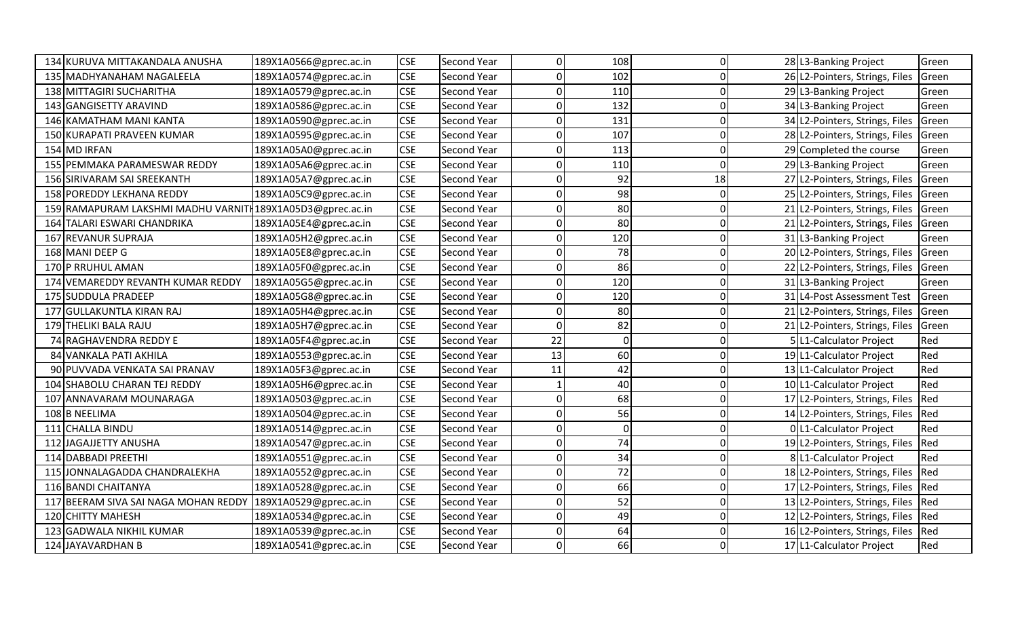|     | 134 KURUVA MITTAKANDALA ANUSHA                            | 189X1A0566@gprec.ac.in | <b>CSE</b> | Second Year        | 0           | 108         | O        | 28 L3-Banking Project          | Green |
|-----|-----------------------------------------------------------|------------------------|------------|--------------------|-------------|-------------|----------|--------------------------------|-------|
|     | 135 MADHYANAHAM NAGALEELA                                 | 189X1A0574@gprec.ac.in | <b>CSE</b> | Second Year        | $\Omega$    | 102         | O        | 26 L2-Pointers, Strings, Files | Green |
|     | 138 MITTAGIRI SUCHARITHA                                  | 189X1A0579@gprec.ac.in | <b>CSE</b> | Second Year        | $\Omega$    | 110         |          | 29 L3-Banking Project          | Green |
|     | 143 GANGISETTY ARAVIND                                    | 189X1A0586@gprec.ac.in | <b>CSE</b> | Second Year        | $\Omega$    | 132         |          | 34 L3-Banking Project          | Green |
|     | 146 KAMATHAM MANI KANTA                                   | 189X1A0590@gprec.ac.in | <b>CSE</b> | Second Year        | $\Omega$    | 131         |          | 34 L2-Pointers, Strings, Files | Green |
|     | 150 KURAPATI PRAVEEN KUMAR                                | 189X1A0595@gprec.ac.in | <b>CSE</b> | Second Year        | $\Omega$    | 107         |          | 28 L2-Pointers, Strings, Files | Green |
|     | 154 MD IRFAN                                              | 189X1A05A0@gprec.ac.in | <b>CSE</b> | Second Year        | $\Omega$    | 113         |          | 29 Completed the course        | Green |
|     | 155 PEMMAKA PARAMESWAR REDDY                              | 189X1A05A6@gprec.ac.in | <b>CSE</b> | Second Year        | $\Omega$    | 110         | O        | 29 L3-Banking Project          | Green |
|     | 156 SIRIVARAM SAI SREEKANTH                               | 189X1A05A7@gprec.ac.in | <b>CSE</b> | Second Year        | $\Omega$    | 92          | 18       | 27 L2-Pointers, Strings, Files | Green |
|     | 158 POREDDY LEKHANA REDDY                                 | 189X1A05C9@gprec.ac.in | <b>CSE</b> | Second Year        | $\Omega$    | 98          |          | 25 L2-Pointers, Strings, Files | Green |
|     | 159 RAMAPURAM LAKSHMI MADHU VARNITH189X1A05D3@gprec.ac.in |                        | <b>CSE</b> | Second Year        | $\Omega$    | 80          | O        | 21 L2-Pointers, Strings, Files | Green |
|     | 164 TALARI ESWARI CHANDRIKA                               | 189X1A05E4@gprec.ac.in | <b>CSE</b> | Second Year        | $\Omega$    | 80          | Ω        | 21 L2-Pointers, Strings, Files | Green |
|     | 167 REVANUR SUPRAJA                                       | 189X1A05H2@gprec.ac.in | <b>CSE</b> | Second Year        | $\Omega$    | 120         |          | 31 L3-Banking Project          | Green |
|     | 168 MANI DEEP G                                           | 189X1A05E8@gprec.ac.in | <b>CSE</b> | Second Year        | $\Omega$    | 78          |          | 20 L2-Pointers, Strings, Files | Green |
|     | 170 P RRUHUL AMAN                                         | 189X1A05F0@gprec.ac.in | <b>CSE</b> | Second Year        | $\Omega$    | 86          |          | 22 L2-Pointers, Strings, Files | Green |
|     | 174 VEMAREDDY REVANTH KUMAR REDDY                         | 189X1A05G5@gprec.ac.in | <b>CSE</b> | <b>Second Year</b> | 0           | 120         |          | 31 L3-Banking Project          | Green |
|     | 175 SUDDULA PRADEEP                                       | 189X1A05G8@gprec.ac.in | <b>CSE</b> | Second Year        | $\Omega$    | 120         |          | 31 L4-Post Assessment Test     | Green |
| 177 | GULLAKUNTLA KIRAN RAJ                                     | 189X1A05H4@gprec.ac.in | <b>CSE</b> | Second Year        | $\Omega$    | 80          |          | 21 L2-Pointers, Strings, Files | Green |
|     | 179 THELIKI BALA RAJU                                     | 189X1A05H7@gprec.ac.in | <b>CSE</b> | Second Year        | $\Omega$    | 82          |          | 21 L2-Pointers, Strings, Files | Green |
|     | 74 RAGHAVENDRA REDDY E                                    | 189X1A05F4@gprec.ac.in | <b>CSE</b> | Second Year        | 22          | $\mathbf 0$ |          | 5 L1-Calculator Project        | Red   |
|     | 84 VANKALA PATI AKHILA                                    | 189X1A0553@gprec.ac.in | <b>CSE</b> | Second Year        | 13          | 60          | 0        | 19 L1-Calculator Project       | Red   |
|     | 90 PUVVADA VENKATA SAI PRANAV                             | 189X1A05F3@gprec.ac.in | <b>CSE</b> | Second Year        | 11          | 42          | O        | 13 L1-Calculator Project       | Red   |
|     | 104 SHABOLU CHARAN TEJ REDDY                              | 189X1A05H6@gprec.ac.in | <b>CSE</b> | Second Year        |             | 40          | C        | 10 L1-Calculator Project       | Red   |
| 107 | ANNAVARAM MOUNARAGA                                       | 189X1A0503@gprec.ac.in | <b>CSE</b> | Second Year        | $\Omega$    | 68          | C        | 17 L2-Pointers, Strings, Files | Red   |
|     | 108 B NEELIMA                                             | 189X1A0504@gprec.ac.in | <b>CSE</b> | Second Year        | $\Omega$    | 56          |          | 14 L2-Pointers, Strings, Files | Red   |
|     | 111 CHALLA BINDU                                          | 189X1A0514@gprec.ac.in | <b>CSE</b> | Second Year        | $\mathbf 0$ | $\mathbf 0$ |          | 0 L1-Calculator Project        | Red   |
| 112 | JAGAJJETTY ANUSHA                                         | 189X1A0547@gprec.ac.in | <b>CSE</b> | Second Year        | 0           | 74          |          | 19 L2-Pointers, Strings, Files | Red   |
|     | 114 DABBADI PREETHI                                       | 189X1A0551@gprec.ac.in | <b>CSE</b> | Second Year        | $\Omega$    | 34          | O        | 8 L1-Calculator Project        | Red   |
|     | 115 JONNALAGADDA CHANDRALEKHA                             | 189X1A0552@gprec.ac.in | <b>CSE</b> | Second Year        | $\Omega$    | 72          |          | 18 L2-Pointers, Strings, Files | Red   |
|     | 116 BANDI CHAITANYA                                       | 189X1A0528@gprec.ac.in | <b>CSE</b> | Second Year        | $\Omega$    | 66          |          | 17 L2-Pointers, Strings, Files | Red   |
|     | 117 BEERAM SIVA SAI NAGA MOHAN REDDY                      | 189X1A0529@gprec.ac.in | <b>CSE</b> | Second Year        | 0           | 52          | $\Omega$ | 13 L2-Pointers, Strings, Files | Red   |
|     | 120 CHITTY MAHESH                                         | 189X1A0534@gprec.ac.in | <b>CSE</b> | Second Year        | $\Omega$    | 49          | O        | 12 L2-Pointers, Strings, Files | Red   |
| 123 | <b>GADWALA NIKHIL KUMAR</b>                               | 189X1A0539@gprec.ac.in | <b>CSE</b> | <b>Second Year</b> | $\Omega$    | 64          |          | 16 L2-Pointers, Strings, Files | Red   |
|     | 124 JAYAVARDHAN B                                         | 189X1A0541@gprec.ac.in | <b>CSE</b> | Second Year        | $\mathbf 0$ | 66          |          | 17 L1-Calculator Project       | Red   |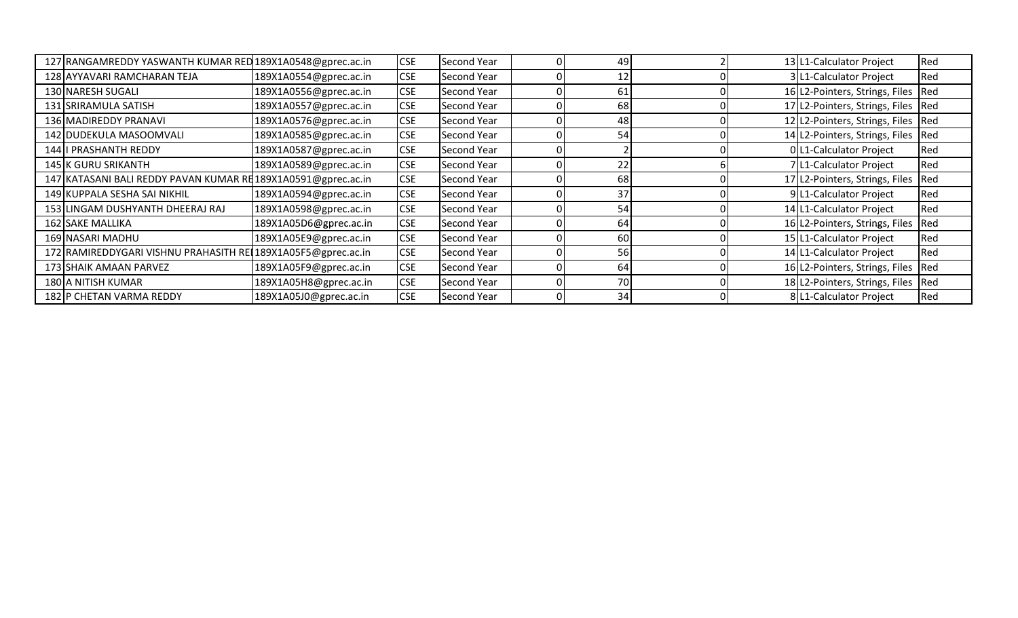| 127 RANGAMREDDY YASWANTH KUMAR RED 189X1A0548@gprec.ac.in    |                        | <b>CSE</b> | <b>Second Year</b> | 49              |  | 13 L1-Calculator Project             | Red |
|--------------------------------------------------------------|------------------------|------------|--------------------|-----------------|--|--------------------------------------|-----|
| 128 AYYAVARI RAMCHARAN TEJA                                  | 189X1A0554@gprec.ac.in | <b>CSE</b> | Second Year        | 12 <sub>1</sub> |  | 3 L1-Calculator Project              | Red |
| 130 NARESH SUGALI                                            | 189X1A0556@gprec.ac.in | <b>CSE</b> | Second Year        | 61              |  | 16 L2-Pointers, Strings, Files       | Red |
| 131 SRIRAMULA SATISH                                         | 189X1A0557@gprec.ac.in | <b>CSE</b> | Second Year        | 68              |  | 17 L2-Pointers, Strings, Files Red   |     |
| 136 MADIREDDY PRANAVI                                        | 189X1A0576@gprec.ac.in | <b>CSE</b> | Second Year        | 48              |  | 12 L2-Pointers, Strings, Files Red   |     |
| 142 DUDEKULA MASOOMVALI                                      | 189X1A0585@gprec.ac.in | <b>CSE</b> | <b>Second Year</b> | 54              |  | 14 L2-Pointers, Strings, Files       | Red |
| 144 I PRASHANTH REDDY                                        | 189X1A0587@gprec.ac.in | <b>CSE</b> | Second Year        |                 |  | 0 L1-Calculator Project              | Red |
| 145 K GURU SRIKANTH                                          | 189X1A0589@gprec.ac.in | <b>CSE</b> | Second Year        | 22              |  | 7 L1-Calculator Project              | Red |
| 147 KATASANI BALI REDDY PAVAN KUMAR RE189X1A0591@gprec.ac.in |                        | <b>CSE</b> | Second Year        | 68              |  | 17 L2-Pointers, Strings, Files       | Red |
| 149 KUPPALA SESHA SAI NIKHIL                                 | 189X1A0594@gprec.ac.in | <b>CSE</b> | Second Year        | 37              |  | 9 L1-Calculator Project              | Red |
| 153 LINGAM DUSHYANTH DHEERAJ RAJ                             | 189X1A0598@gprec.ac.in | <b>CSE</b> | <b>Second Year</b> | 54              |  | 14 L1-Calculator Project             | Red |
| 162 SAKE MALLIKA                                             | 189X1A05D6@gprec.ac.in | <b>CSE</b> | Second Year        | 64              |  | 16 L2-Pointers, Strings, Files       | Red |
| 169 NASARI MADHU                                             | 189X1A05E9@gprec.ac.in | <b>CSE</b> | Second Year        | 60              |  | 15 L1-Calculator Project             | Red |
| 172 RAMIREDDYGARI VISHNU PRAHASITH REL189X1A05F5@gprec.ac.in |                        | <b>CSE</b> | Second Year        | 56              |  | 14 L1-Calculator Project             | Red |
| 173 SHAIK AMAAN PARVEZ                                       | 189X1A05F9@gprec.ac.in | <b>CSE</b> | Second Year        | 64              |  | 16 L2-Pointers, Strings, Files       | Red |
| 180 A NITISH KUMAR                                           | 189X1A05H8@gprec.ac.in | <b>CSE</b> | <b>Second Year</b> | 70              |  | 18 L2-Pointers, Strings, Files   Red |     |
| 182 P CHETAN VARMA REDDY                                     | 189X1A05J0@gprec.ac.in | <b>CSE</b> | <b>Second Year</b> | 34              |  | 8 L1-Calculator Project              | Red |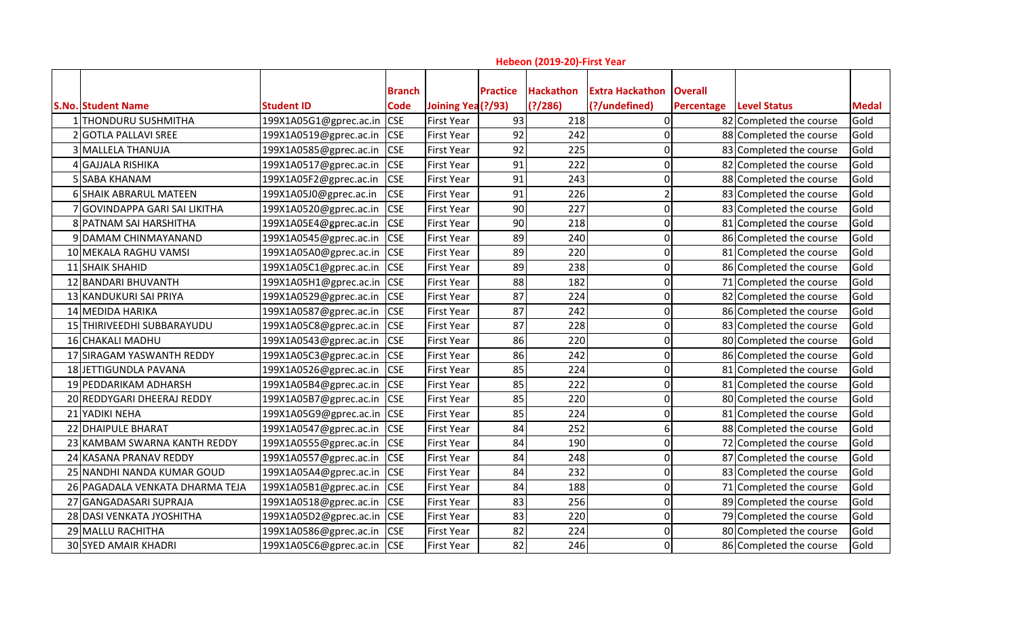| Hebeon (2019-20)-First Year     |                        |                              |                    |                 |                              |                                         |                              |                         |              |  |
|---------------------------------|------------------------|------------------------------|--------------------|-----------------|------------------------------|-----------------------------------------|------------------------------|-------------------------|--------------|--|
| <b>S.No. Student Name</b>       | <b>Student ID</b>      | <b>Branch</b><br><b>Code</b> | Joining Yea (?/93) | <b>Practice</b> | <b>Hackathon</b><br>(?)/286) | <b>Extra Hackathon</b><br>(?/undefined) | <b>Overall</b><br>Percentage | <b>Level Status</b>     | <b>Medal</b> |  |
| 1 THONDURU SUSHMITHA            | 199X1A05G1@gprec.ac.in | <b>CSE</b>                   | <b>First Year</b>  | 93              | 218                          |                                         |                              | 82 Completed the course | Gold         |  |
| 2 GOTLA PALLAVI SREE            | 199X1A0519@gprec.ac.in | <b>CSE</b>                   | <b>First Year</b>  | 92              | 242                          | 0                                       |                              | 88 Completed the course | Gold         |  |
| 3 MALLELA THANUJA               | 199X1A0585@gprec.ac.in | <b>CSE</b>                   | <b>First Year</b>  | 92              | 225                          | O                                       |                              | 83 Completed the course | Gold         |  |
| 4 GAJJALA RISHIKA               | 199X1A0517@gprec.ac.in | <b>CSE</b>                   | <b>First Year</b>  | 91              | 222                          | O                                       |                              | 82 Completed the course | Gold         |  |
| 5 SABA KHANAM                   | 199X1A05F2@gprec.ac.in | <b>CSE</b>                   | <b>First Year</b>  | 91              | 243                          | ŋ                                       |                              | 88 Completed the course | Gold         |  |
| <b>6 SHAIK ABRARUL MATEEN</b>   | 199X1A05J0@gprec.ac.in | <b>CSE</b>                   | <b>First Year</b>  | 91              | 226                          |                                         |                              | 83 Completed the course | Gold         |  |
| 7 GOVINDAPPA GARI SAI LIKITHA   | 199X1A0520@gprec.ac.in | <b>CSE</b>                   | <b>First Year</b>  | 90              | 227                          | 0                                       |                              | 83 Completed the course | Gold         |  |
| 8 PATNAM SAI HARSHITHA          | 199X1A05E4@gprec.ac.in | <b>CSE</b>                   | <b>First Year</b>  | 90              | 218                          | O                                       |                              | 81 Completed the course | Gold         |  |
| 9 DAMAM CHINMAYANAND            | 199X1A0545@gprec.ac.in | <b>CSE</b>                   | <b>First Year</b>  | 89              | 240                          | O                                       |                              | 86 Completed the course | Gold         |  |
| 10 MEKALA RAGHU VAMSI           | 199X1A05A0@gprec.ac.in | <b>CSE</b>                   | <b>First Year</b>  | 89              | 220                          | 0                                       |                              | 81 Completed the course | Gold         |  |
| 11 SHAIK SHAHID                 | 199X1A05C1@gprec.ac.in | <b>CSE</b>                   | <b>First Year</b>  | 89              | 238                          | O                                       |                              | 86 Completed the course | Gold         |  |
| 12 BANDARI BHUVANTH             | 199X1A05H1@gprec.ac.in | <b>CSE</b>                   | <b>First Year</b>  | 88              | 182                          | O                                       |                              | 71 Completed the course | Gold         |  |
| 13 KANDUKURI SAI PRIYA          | 199X1A0529@gprec.ac.in | <b>CSE</b>                   | <b>First Year</b>  | 87              | 224                          | ŋ                                       |                              | 82 Completed the course | Gold         |  |
| 14 MEDIDA HARIKA                | 199X1A0587@gprec.ac.in | <b>CSE</b>                   | <b>First Year</b>  | 87              | 242                          | 0                                       |                              | 86 Completed the course | Gold         |  |
| 15 THIRIVEEDHI SUBBARAYUDU      | 199X1A05C8@gprec.ac.in | <b>CSE</b>                   | <b>First Year</b>  | 87              | 228                          | 0                                       |                              | 83 Completed the course | Gold         |  |
| 16 CHAKALI MADHU                | 199X1A0543@gprec.ac.in | <b>CSE</b>                   | <b>First Year</b>  | 86              | 220                          | ŋ                                       |                              | 80 Completed the course | Gold         |  |
| 17 SIRAGAM YASWANTH REDDY       | 199X1A05C3@gprec.ac.in | <b>CSE</b>                   | <b>First Year</b>  | 86              | 242                          | 0                                       |                              | 86 Completed the course | Gold         |  |
| 18 JETTIGUNDLA PAVANA           | 199X1A0526@gprec.ac.in | <b>CSE</b>                   | <b>First Year</b>  | 85              | 224                          | O                                       |                              | 81 Completed the course | Gold         |  |
| 19 PEDDARIKAM ADHARSH           | 199X1A05B4@gprec.ac.in | <b>CSE</b>                   | <b>First Year</b>  | 85              | 222                          | O                                       |                              | 81 Completed the course | Gold         |  |
| 20 REDDYGARI DHEERAJ REDDY      | 199X1A05B7@gprec.ac.in | <b>CSE</b>                   | <b>First Year</b>  | 85              | 220                          | 0                                       |                              | 80 Completed the course | Gold         |  |
| 21 YADIKI NEHA                  | 199X1A05G9@gprec.ac.in | <b>CSE</b>                   | <b>First Year</b>  | 85              | 224                          | O                                       |                              | 81 Completed the course | Gold         |  |
| 22 DHAIPULE BHARAT              | 199X1A0547@gprec.ac.in | <b>CSE</b>                   | <b>First Year</b>  | 84              | 252                          | 6                                       |                              | 88 Completed the course | Gold         |  |
| 23 KAMBAM SWARNA KANTH REDDY    | 199X1A0555@gprec.ac.in | <b>CSE</b>                   | <b>First Year</b>  | 84              | 190                          | 0                                       |                              | 72 Completed the course | Gold         |  |
| 24 KASANA PRANAV REDDY          | 199X1A0557@gprec.ac.in | <b>CSE</b>                   | <b>First Year</b>  | 84              | 248                          | 0                                       |                              | 87 Completed the course | Gold         |  |
| 25 NANDHI NANDA KUMAR GOUD      | 199X1A05A4@gprec.ac.in | <b>CSE</b>                   | <b>First Year</b>  | 84              | 232                          | 0                                       |                              | 83 Completed the course | Gold         |  |
| 26 PAGADALA VENKATA DHARMA TEJA | 199X1A05B1@gprec.ac.in | <b>CSE</b>                   | <b>First Year</b>  | 84              | 188                          | $\Omega$                                |                              | 71 Completed the course | Gold         |  |
| 27 GANGADASARI SUPRAJA          | 199X1A0518@gprec.ac.in | <b>CSE</b>                   | <b>First Year</b>  | 83              | 256                          | O                                       |                              | 89 Completed the course | Gold         |  |
| 28 DASI VENKATA JYOSHITHA       | 199X1A05D2@gprec.ac.in | <b>CSE</b>                   | <b>First Year</b>  | 83              | 220                          | 0                                       |                              | 79 Completed the course | Gold         |  |
| 29 MALLU RACHITHA               | 199X1A0586@gprec.ac.in | <b>CSE</b>                   | <b>First Year</b>  | 82              | 224                          | ŋ                                       |                              | 80 Completed the course | Gold         |  |
| <b>30 SYED AMAIR KHADRI</b>     | 199X1A05C6@gprec.ac.in | <b>CSE</b>                   | <b>First Year</b>  | 82              | 246                          | 0                                       |                              | 86 Completed the course | Gold         |  |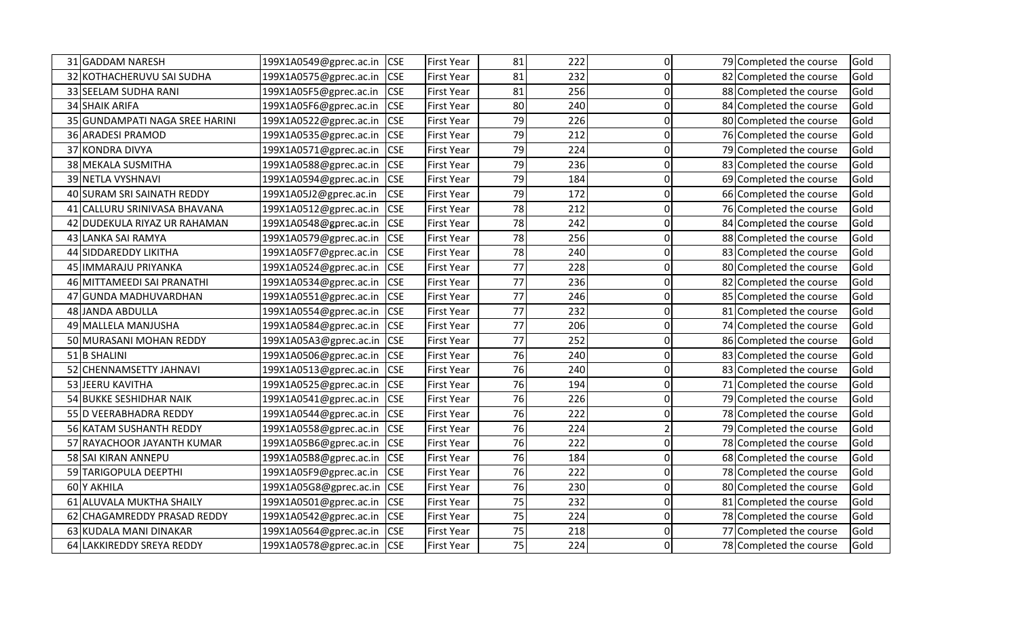|    | 31 GADDAM NARESH               | 199X1A0549@gprec.ac.in | <b>CSE</b> | <b>First Year</b> | 81 | 222 | 0        | 79 Completed the course | Gold |
|----|--------------------------------|------------------------|------------|-------------------|----|-----|----------|-------------------------|------|
|    | 32 KOTHACHERUVU SAI SUDHA      | 199X1A0575@gprec.ac.in | <b>CSE</b> | <b>First Year</b> | 81 | 232 | $\Omega$ | 82 Completed the course | Gold |
|    | 33 SEELAM SUDHA RANI           | 199X1A05F5@gprec.ac.in | <b>CSE</b> | <b>First Year</b> | 81 | 256 | 0        | 88 Completed the course | Gold |
|    | 34 SHAIK ARIFA                 | 199X1A05F6@gprec.ac.in | <b>CSE</b> | <b>First Year</b> | 80 | 240 | ი        | 84 Completed the course | Gold |
|    | 35 GUNDAMPATI NAGA SREE HARINI | 199X1A0522@gprec.ac.in | <b>CSE</b> | First Year        | 79 | 226 | ŋ        | 80 Completed the course | Gold |
|    | 36 ARADESI PRAMOD              | 199X1A0535@gprec.ac.in | <b>CSE</b> | <b>First Year</b> | 79 | 212 | ŋ        | 76 Completed the course | Gold |
|    | 37 KONDRA DIVYA                | 199X1A0571@gprec.ac.in | <b>CSE</b> | <b>First Year</b> | 79 | 224 | O        | 79 Completed the course | Gold |
|    | 38 MEKALA SUSMITHA             | 199X1A0588@gprec.ac.in | <b>CSE</b> | <b>First Year</b> | 79 | 236 | O        | 83 Completed the course | Gold |
|    | 39 NETLA VYSHNAVI              | 199X1A0594@gprec.ac.in | <b>CSE</b> | First Year        | 79 | 184 | n        | 69 Completed the course | Gold |
|    | 40 SURAM SRI SAINATH REDDY     | 199X1A05J2@gprec.ac.in | <b>CSE</b> | <b>First Year</b> | 79 | 172 | 0        | 66 Completed the course | Gold |
| 41 | CALLURU SRINIVASA BHAVANA      | 199X1A0512@gprec.ac.in | <b>CSE</b> | First Year        | 78 | 212 | O        | 76 Completed the course | Gold |
|    | 42 DUDEKULA RIYAZ UR RAHAMAN   | 199X1A0548@gprec.ac.in | <b>CSE</b> | <b>First Year</b> | 78 | 242 | ŋ        | 84 Completed the course | Gold |
|    | 43 LANKA SAI RAMYA             | 199X1A0579@gprec.ac.in | <b>CSE</b> | <b>First Year</b> | 78 | 256 | 0        | 88 Completed the course | Gold |
|    | 44 SIDDAREDDY LIKITHA          | 199X1A05F7@gprec.ac.in | <b>CSE</b> | First Year        | 78 | 240 | O        | 83 Completed the course | Gold |
|    | 45 IMMARAJU PRIYANKA           | 199X1A0524@gprec.ac.in | <b>CSE</b> | <b>First Year</b> | 77 | 228 | ი        | 80 Completed the course | Gold |
|    | 46 MITTAMEEDI SAI PRANATHI     | 199X1A0534@gprec.ac.in | <b>CSE</b> | <b>First Year</b> | 77 | 236 | O        | 82 Completed the course | Gold |
|    | 47 GUNDA MADHUVARDHAN          | 199X1A0551@gprec.ac.in | <b>CSE</b> | <b>First Year</b> | 77 | 246 | $\Omega$ | 85 Completed the course | Gold |
|    | 48 JANDA ABDULLA               | 199X1A0554@gprec.ac.in | <b>CSE</b> | <b>First Year</b> | 77 | 232 | 0        | 81 Completed the course | Gold |
|    | 49 MALLELA MANJUSHA            | 199X1A0584@gprec.ac.in | <b>CSE</b> | First Year        | 77 | 206 | ŋ        | 74 Completed the course | Gold |
|    | 50 MURASANI MOHAN REDDY        | 199X1A05A3@gprec.ac.in | <b>CSE</b> | First Year        | 77 | 252 | 0        | 86 Completed the course | Gold |
|    | 51 B SHALINI                   | 199X1A0506@gprec.ac.in | <b>CSE</b> | <b>First Year</b> | 76 | 240 | 0        | 83 Completed the course | Gold |
|    | 52 CHENNAMSETTY JAHNAVI        | 199X1A0513@gprec.ac.in | <b>CSE</b> | First Year        | 76 | 240 | ŋ        | 83 Completed the course | Gold |
|    | 53 JEERU KAVITHA               | 199X1A0525@gprec.ac.in | <b>CSE</b> | <b>First Year</b> | 76 | 194 | 0        | 71 Completed the course | Gold |
|    | 54 BUKKE SESHIDHAR NAIK        | 199X1A0541@gprec.ac.in | <b>CSE</b> | <b>First Year</b> | 76 | 226 | 0        | 79 Completed the course | Gold |
|    | 55 D VEERABHADRA REDDY         | 199X1A0544@gprec.ac.in | <b>CSE</b> | First Year        | 76 | 222 | n        | 78 Completed the course | Gold |
|    | 56 KATAM SUSHANTH REDDY        | 199X1A0558@gprec.ac.in | <b>CSE</b> | <b>First Year</b> | 76 | 224 |          | 79 Completed the course | Gold |
|    | 57 RAYACHOOR JAYANTH KUMAR     | 199X1A05B6@gprec.ac.in | <b>CSE</b> | First Year        | 76 | 222 | O        | 78 Completed the course | Gold |
|    | 58 SAI KIRAN ANNEPU            | 199X1A05B8@gprec.ac.in | <b>CSE</b> | First Year        | 76 | 184 | O        | 68 Completed the course | Gold |
|    | 59 TARIGOPULA DEEPTHI          | 199X1A05F9@gprec.ac.in | <b>CSE</b> | <b>First Year</b> | 76 | 222 | 0        | 78 Completed the course | Gold |
|    | 60 Y AKHILA                    | 199X1A05G8@gprec.ac.in | <b>CSE</b> | <b>First Year</b> | 76 | 230 | ŋ        | 80 Completed the course | Gold |
|    | 61 ALUVALA MUKTHA SHAILY       | 199X1A0501@gprec.ac.in | <b>CSE</b> | <b>First Year</b> | 75 | 232 | 0        | 81 Completed the course | Gold |
| 62 | CHAGAMREDDY PRASAD REDDY       | 199X1A0542@gprec.ac.in | <b>CSE</b> | First Year        | 75 | 224 | 0        | 78 Completed the course | Gold |
|    | 63 KUDALA MANI DINAKAR         | 199X1A0564@gprec.ac.in | <b>CSE</b> | First Year        | 75 | 218 | ŋ        | 77 Completed the course | Gold |
|    | 64 LAKKIREDDY SREYA REDDY      | 199X1A0578@gprec.ac.in | <b>CSE</b> | <b>First Year</b> | 75 | 224 | 0        | 78 Completed the course | Gold |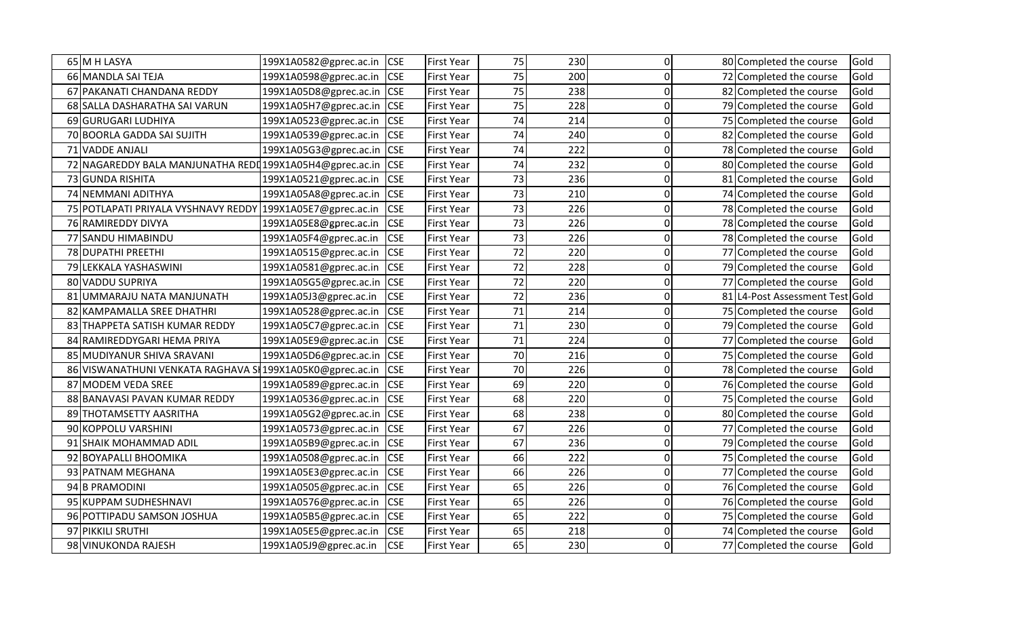|    | 65 M H LASYA                                             | 199X1A0582@gprec.ac.in | <b>CSE</b> | <b>First Year</b> | 75 | 230 | 0        | 80 Completed the course         | Gold |
|----|----------------------------------------------------------|------------------------|------------|-------------------|----|-----|----------|---------------------------------|------|
|    | 66 MANDLA SAI TEJA                                       | 199X1A0598@gprec.ac.in | <b>CSE</b> | <b>First Year</b> | 75 | 200 | 0        | 72 Completed the course         | Gold |
|    | 67 PAKANATI CHANDANA REDDY                               | 199X1A05D8@gprec.ac.in | <b>CSE</b> | <b>First Year</b> | 75 | 238 | 0        | 82 Completed the course         | Gold |
|    | 68 SALLA DASHARATHA SAI VARUN                            | 199X1A05H7@gprec.ac.in | <b>CSE</b> | First Year        | 75 | 228 | U        | 79 Completed the course         | Gold |
|    | 69 GURUGARI LUDHIYA                                      | 199X1A0523@gprec.ac.in | <b>CSE</b> | <b>First Year</b> | 74 | 214 | 0        | 75 Completed the course         | Gold |
|    | 70 BOORLA GADDA SAI SUJITH                               | 199X1A0539@gprec.ac.in | <b>CSE</b> | First Year        | 74 | 240 | ŋ        | 82 Completed the course         | Gold |
|    | 71 VADDE ANJALI                                          | 199X1A05G3@gprec.ac.in | <b>CSE</b> | <b>First Year</b> | 74 | 222 | ŋ        | 78 Completed the course         | Gold |
|    | 72 NAGAREDDY BALA MANJUNATHA REDI 199X1A05H4@gprec.ac.in |                        | <b>CSE</b> | First Year        | 74 | 232 | 0        | 80 Completed the course         | Gold |
|    | 73 GUNDA RISHITA                                         | 199X1A0521@gprec.ac.in | <b>CSE</b> | <b>First Year</b> | 73 | 236 | O        | 81 Completed the course         | Gold |
|    | 74 NEMMANI ADITHYA                                       | 199X1A05A8@gprec.ac.in | <b>CSE</b> | First Year        | 73 | 210 | 0        | 74 Completed the course         | Gold |
|    | 75 POTLAPATI PRIYALA VYSHNAVY REDDY                      | 199X1A05E7@gprec.ac.in | <b>CSE</b> | First Year        | 73 | 226 | 0        | 78 Completed the course         | Gold |
|    | 76 RAMIREDDY DIVYA                                       | 199X1A05E8@gprec.ac.in | <b>CSE</b> | First Year        | 73 | 226 | ŋ        | 78 Completed the course         | Gold |
|    | 77 SANDU HIMABINDU                                       | 199X1A05F4@gprec.ac.in | <b>CSE</b> | <b>First Year</b> | 73 | 226 | 0        | 78 Completed the course         | Gold |
|    | 78 DUPATHI PREETHI                                       | 199X1A0515@gprec.ac.in | <b>CSE</b> | <b>First Year</b> | 72 | 220 | 0        | 77 Completed the course         | Gold |
|    | 79 LEKKALA YASHASWINI                                    | 199X1A0581@gprec.ac.in | <b>CSE</b> | <b>First Year</b> | 72 | 228 | ი        | 79 Completed the course         | Gold |
|    | 80 VADDU SUPRIYA                                         | 199X1A05G5@gprec.ac.in | <b>CSE</b> | First Year        | 72 | 220 | U        | 77 Completed the course         | Gold |
| 81 | UMMARAJU NATA MANJUNATH                                  | 199X1A05J3@gprec.ac.in | <b>CSE</b> | First Year        | 72 | 236 | ŋ        | 81 L4-Post Assessment Test Gold |      |
|    | 82 KAMPAMALLA SREE DHATHRI                               | 199X1A0528@gprec.ac.in | <b>CSE</b> | <b>First Year</b> | 71 | 214 | O        | 75 Completed the course         | Gold |
| 83 | THAPPETA SATISH KUMAR REDDY                              | 199X1A05C7@gprec.ac.in | <b>CSE</b> | <b>First Year</b> | 71 | 230 | 0        | 79 Completed the course         | Gold |
|    | 84 RAMIREDDYGARI HEMA PRIYA                              | 199X1A05E9@gprec.ac.in | <b>CSE</b> | <b>First Year</b> | 71 | 224 | ŋ        | 77 Completed the course         | Gold |
|    | 85 MUDIYANUR SHIVA SRAVANI                               | 199X1A05D6@gprec.ac.in | <b>CSE</b> | <b>First Year</b> | 70 | 216 | 0        | 75 Completed the course         | Gold |
| 86 | VISWANATHUNI VENKATA RAGHAVA SI 199X1A05K0@gprec.ac.in   |                        | <b>CSE</b> | <b>First Year</b> | 70 | 226 | 0        | 78 Completed the course         | Gold |
| 87 | MODEM VEDA SREE                                          | 199X1A0589@gprec.ac.in | <b>CSE</b> | First Year        | 69 | 220 | O        | 76 Completed the course         | Gold |
|    | 88 BANAVASI PAVAN KUMAR REDDY                            | 199X1A0536@gprec.ac.in | <b>CSE</b> | <b>First Year</b> | 68 | 220 | 0        | 75 Completed the course         | Gold |
|    | 89 THOTAMSETTY AASRITHA                                  | 199X1A05G2@gprec.ac.in | <b>CSE</b> | First Year        | 68 | 238 | n        | 80 Completed the course         | Gold |
|    | 90 KOPPOLU VARSHINI                                      | 199X1A0573@gprec.ac.in | <b>CSE</b> | <b>First Year</b> | 67 | 226 | ი        | 77 Completed the course         | Gold |
| 91 | <b>SHAIK MOHAMMAD ADIL</b>                               | 199X1A05B9@gprec.ac.in | <b>CSE</b> | <b>First Year</b> | 67 | 236 | 0        | 79 Completed the course         | Gold |
|    | 92 BOYAPALLI BHOOMIKA                                    | 199X1A0508@gprec.ac.in | <b>CSE</b> | <b>First Year</b> | 66 | 222 | 0        | 75 Completed the course         | Gold |
|    | 93 PATNAM MEGHANA                                        | 199X1A05E3@gprec.ac.in | <b>CSE</b> | <b>First Year</b> | 66 | 226 | ŋ        | 77 Completed the course         | Gold |
|    | 94 B PRAMODINI                                           | 199X1A0505@gprec.ac.in | <b>CSE</b> | <b>First Year</b> | 65 | 226 | O        | 76 Completed the course         | Gold |
|    | 95 KUPPAM SUDHESHNAVI                                    | 199X1A0576@gprec.ac.in | <b>CSE</b> | First Year        | 65 | 226 | 0        | 76 Completed the course         | Gold |
|    | 96 POTTIPADU SAMSON JOSHUA                               | 199X1A05B5@gprec.ac.in | <b>CSE</b> | <b>First Year</b> | 65 | 222 | 0        | 75 Completed the course         | Gold |
|    | 97 PIKKILI SRUTHI                                        | 199X1A05E5@gprec.ac.in | <b>CSE</b> | First Year        | 65 | 218 | $\Omega$ | 74 Completed the course         | Gold |
|    | 98 VINUKONDA RAJESH                                      | 199X1A05J9@gprec.ac.in | <b>CSE</b> | First Year        | 65 | 230 | 0        | 77 Completed the course         | Gold |
|    |                                                          |                        |            |                   |    |     |          |                                 |      |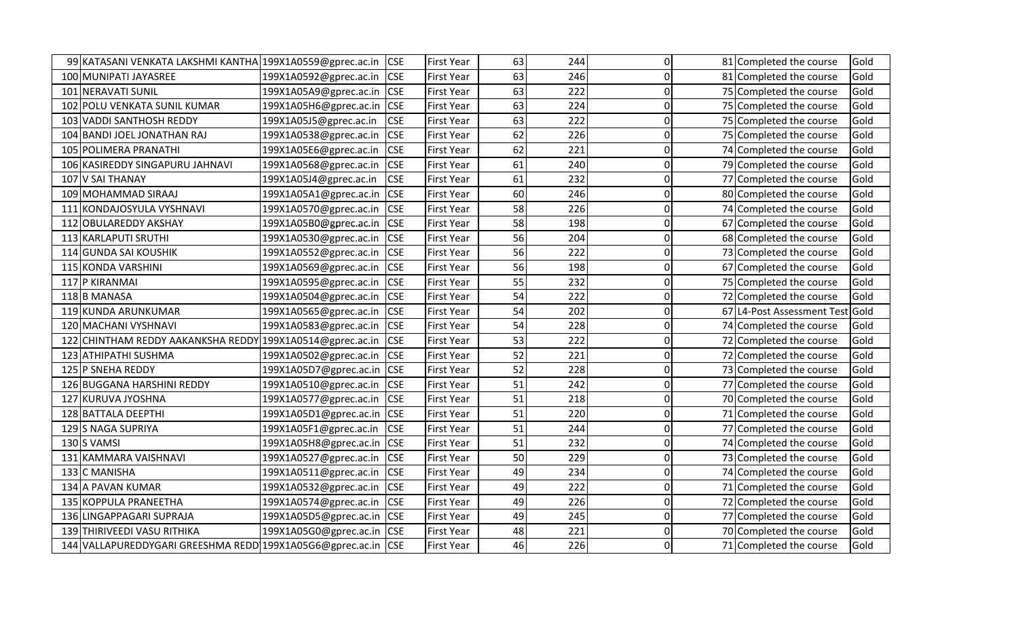| 99 KATASANI VENKATA LAKSHMI KANTHA 199X1A0559@gprec.ac.in |                        | <b>CSE</b> | <b>First Year</b> | 63 | 244 | 0            | 81 Completed the course    | Gold |
|-----------------------------------------------------------|------------------------|------------|-------------------|----|-----|--------------|----------------------------|------|
| 100 MUNIPATI JAYASREE                                     | 199X1A0592@gprec.ac.in | <b>CSE</b> | <b>First Year</b> | 63 | 246 | $\Omega$     | 81 Completed the course    | Gold |
| 101 NERAVATI SUNIL                                        | 199X1A05A9@gprec.ac.in | <b>CSE</b> | <b>First Year</b> | 63 | 222 | 0            | 75 Completed the course    | Gold |
| 102 POLU VENKATA SUNIL KUMAR                              | 199X1A05H6@gprec.ac.in | <b>CSE</b> | <b>First Year</b> | 63 | 224 | 0            | 75 Completed the course    | Gold |
| 103 VADDI SANTHOSH REDDY                                  | 199X1A05J5@gprec.ac.in | <b>CSE</b> | First Year        | 63 | 222 | $\Omega$     | 75 Completed the course    | Gold |
| 104 BANDI JOEL JONATHAN RAJ                               | 199X1A0538@gprec.ac.in | <b>CSE</b> | First Year        | 62 | 226 | $\Omega$     | 75 Completed the course    | Gold |
| 105 POLIMERA PRANATHI                                     | 199X1A05E6@gprec.ac.in | <b>CSE</b> | <b>First Year</b> | 62 | 221 | <sup>0</sup> | 74 Completed the course    | Gold |
| 106 KASIREDDY SINGAPURU JAHNAVI                           | 199X1A0568@gprec.ac.in | <b>CSE</b> | <b>First Year</b> | 61 | 240 | 0            | 79 Completed the course    | Gold |
| 107 V SAI THANAY                                          | 199X1A05J4@gprec.ac.in | <b>CSE</b> | <b>First Year</b> | 61 | 232 | 0            | 77 Completed the course    | Gold |
| 109 MOHAMMAD SIRAAJ                                       | 199X1A05A1@gprec.ac.in | <b>CSE</b> | <b>First Year</b> | 60 | 246 | 0            | 80 Completed the course    | Gold |
| 111 KONDAJOSYULA VYSHNAVI                                 | 199X1A0570@gprec.ac.in | <b>CSE</b> | <b>First Year</b> | 58 | 226 | <sup>0</sup> | 74 Completed the course    | Gold |
| 112 OBULAREDDY AKSHAY                                     | 199X1A05B0@gprec.ac.in | <b>CSE</b> | <b>First Year</b> | 58 | 198 | 0            | 67 Completed the course    | Gold |
| 113 KARLAPUTI SRUTHI                                      | 199X1A0530@gprec.ac.in | <b>CSE</b> | <b>First Year</b> | 56 | 204 | $\Omega$     | 68 Completed the course    | Gold |
| 114 GUNDA SAI KOUSHIK                                     | 199X1A0552@gprec.ac.in | <b>CSE</b> | <b>First Year</b> | 56 | 222 | n            | 73 Completed the course    | Gold |
| 115 KONDA VARSHINI                                        | 199X1A0569@gprec.ac.in | <b>CSE</b> | <b>First Year</b> | 56 | 198 | 0            | 67 Completed the course    | Gold |
| 117 P KIRANMAI                                            | 199X1A0595@gprec.ac.in | <b>CSE</b> | <b>First Year</b> | 55 | 232 | $\Omega$     | 75 Completed the course    | Gold |
| 118 B MANASA                                              | 199X1A0504@gprec.ac.in | <b>CSE</b> | First Year        | 54 | 222 | U            | 72 Completed the course    | Gold |
| 119 KUNDA ARUNKUMAR                                       | 199X1A0565@gprec.ac.in | <b>CSE</b> | <b>First Year</b> | 54 | 202 | 0            | 67 L4-Post Assessment Test | Gold |
| 120 MACHANI VYSHNAVI                                      | 199X1A0583@gprec.ac.in | <b>CSE</b> | <b>First Year</b> | 54 | 228 | U            | 74 Completed the course    | Gold |
| 122 CHINTHAM REDDY AAKANKSHA REDDY 199X1A0514@gprec.ac.in |                        | <b>CSE</b> | <b>First Year</b> | 53 | 222 | 0            | 72 Completed the course    | Gold |
| 123 ATHIPATHI SUSHMA                                      | 199X1A0502@gprec.ac.in | <b>CSE</b> | <b>First Year</b> | 52 | 221 | $\Omega$     | 72 Completed the course    | Gold |
| 125 P SNEHA REDDY                                         | 199X1A05D7@gprec.ac.in | <b>CSE</b> | <b>First Year</b> | 52 | 228 | $\Omega$     | 73 Completed the course    | Gold |
| 126 BUGGANA HARSHINI REDDY                                | 199X1A0510@gprec.ac.in | <b>CSE</b> | <b>First Year</b> | 51 | 242 | $\Omega$     | 77 Completed the course    | Gold |
| 127 KURUVA JYOSHNA                                        | 199X1A0577@gprec.ac.in | <b>CSE</b> | <b>First Year</b> | 51 | 218 | 0            | 70 Completed the course    | Gold |
| 128 BATTALA DEEPTHI                                       | 199X1A05D1@gprec.ac.in | <b>CSE</b> | <b>First Year</b> | 51 | 220 | 0            | 71 Completed the course    | Gold |
| 129 S NAGA SUPRIYA                                        | 199X1A05F1@gprec.ac.in | <b>CSE</b> | <b>First Year</b> | 51 | 244 | 0            | 77 Completed the course    | Gold |
| 130 S VAMSI                                               | 199X1A05H8@gprec.ac.in | <b>CSE</b> | <b>First Year</b> | 51 | 232 | $\Omega$     | 74 Completed the course    | Gold |
| 131 KAMMARA VAISHNAVI                                     | 199X1A0527@gprec.ac.in | <b>CSE</b> | <b>First Year</b> | 50 | 229 | 0            | 73 Completed the course    | Gold |
| 133 C MANISHA                                             | 199X1A0511@gprec.ac.in | <b>CSE</b> | <b>First Year</b> | 49 | 234 | 0            | 74 Completed the course    | Gold |
| 134 A PAVAN KUMAR                                         | 199X1A0532@gprec.ac.in | <b>CSE</b> | <b>First Year</b> | 49 | 222 | $\Omega$     | 71 Completed the course    | Gold |
| 135 KOPPULA PRANEETHA                                     | 199X1A0574@gprec.ac.in | <b>CSE</b> | <b>First Year</b> | 49 | 226 | 0            | 72 Completed the course    | Gold |
| 136 LINGAPPAGARI SUPRAJA                                  | 199X1A05D5@gprec.ac.in | <b>CSE</b> | <b>First Year</b> | 49 | 245 | 0            | 77 Completed the course    | Gold |
| 139 THIRIVEEDI VASU RITHIKA                               | 199X1A05G0@gprec.ac.in | <b>CSE</b> | First Year        | 48 | 221 | 0            | 70 Completed the course    | Gold |
| 144 VALLAPUREDDYGARI GREESHMA REDD 199X1A05G6@gprec.ac.in |                        | <b>CSE</b> | <b>First Year</b> | 46 | 226 | $\Omega$     | 71 Completed the course    | Gold |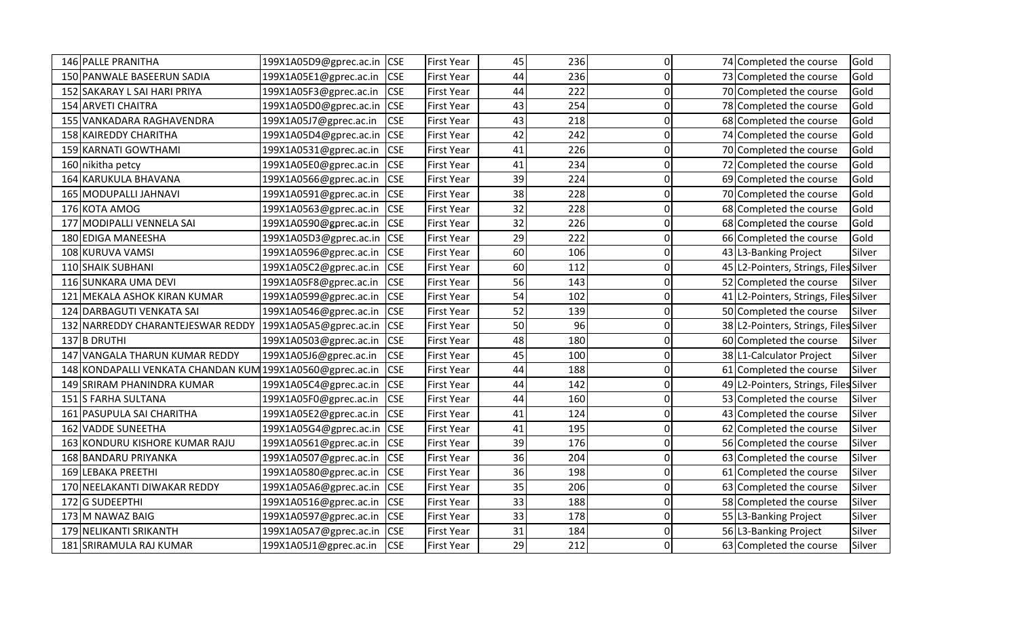| 146 PALLE PRANITHA                 | 199X1A05D9@gprec.ac.in | <b>CSE</b> | <b>First Year</b> | 45 | 236 | 0        | 74 Completed the course               | Gold   |
|------------------------------------|------------------------|------------|-------------------|----|-----|----------|---------------------------------------|--------|
| 150 PANWALE BASEERUN SADIA         | 199X1A05E1@gprec.ac.in | <b>CSE</b> | <b>First Year</b> | 44 | 236 | 0        | 73 Completed the course               | Gold   |
| 152 SAKARAY L SAI HARI PRIYA       | 199X1A05F3@gprec.ac.in | <b>CSE</b> | <b>First Year</b> | 44 | 222 | 0        | 70 Completed the course               | Gold   |
| 154 ARVETI CHAITRA                 | 199X1A05D0@gprec.ac.in | <b>CSE</b> | <b>First Year</b> | 43 | 254 | 0        | 78 Completed the course               | Gold   |
| 155 VANKADARA RAGHAVENDRA          | 199X1A05J7@gprec.ac.in | <b>CSE</b> | <b>First Year</b> | 43 | 218 | 0        | 68 Completed the course               | Gold   |
| 158 KAIREDDY CHARITHA              | 199X1A05D4@gprec.ac.in | <b>CSE</b> | <b>First Year</b> | 42 | 242 | O        | 74 Completed the course               | Gold   |
| 159 KARNATI GOWTHAMI               | 199X1A0531@gprec.ac.in | <b>CSE</b> | <b>First Year</b> | 41 | 226 | N        | 70 Completed the course               | Gold   |
| 160 nikitha petcy                  | 199X1A05E0@gprec.ac.in | <b>CSE</b> | <b>First Year</b> | 41 | 234 | U        | 72 Completed the course               | Gold   |
| 164 KARUKULA BHAVANA               | 199X1A0566@gprec.ac.in | <b>CSE</b> | <b>First Year</b> | 39 | 224 | n        | 69 Completed the course               | Gold   |
| 165 MODUPALLI JAHNAVI              | 199X1A0591@gprec.ac.in | <b>CSE</b> | <b>First Year</b> | 38 | 228 | 0        | 70 Completed the course               | Gold   |
| 176 KOTA AMOG                      | 199X1A0563@gprec.ac.in | <b>CSE</b> | <b>First Year</b> | 32 | 228 | 0        | 68 Completed the course               | Gold   |
| 177 MODIPALLI VENNELA SAI          | 199X1A0590@gprec.ac.in | <b>CSE</b> | <b>First Year</b> | 32 | 226 | በ        | 68 Completed the course               | Gold   |
| 180 EDIGA MANEESHA                 | 199X1A05D3@gprec.ac.in | <b>CSE</b> | <b>First Year</b> | 29 | 222 | 0        | 66 Completed the course               | Gold   |
| 108 KURUVA VAMSI                   | 199X1A0596@gprec.ac.in | <b>CSE</b> | <b>First Year</b> | 60 | 106 | O        | 43 L3-Banking Project                 | Silver |
| 110 SHAIK SUBHANI                  | 199X1A05C2@gprec.ac.in | <b>CSE</b> | <b>First Year</b> | 60 | 112 | 0        | 45 L2-Pointers, Strings, Files Silver |        |
| 116 SUNKARA UMA DEVI               | 199X1A05F8@gprec.ac.in | <b>CSE</b> | <b>First Year</b> | 56 | 143 | 0        | 52 Completed the course               | Silver |
| 121 MEKALA ASHOK KIRAN KUMAR       | 199X1A0599@gprec.ac.in | <b>CSE</b> | <b>First Year</b> | 54 | 102 | ი        | 41 L2-Pointers, Strings, Files Silver |        |
| 124 DARBAGUTI VENKATA SAI          | 199X1A0546@gprec.ac.in | <b>CSE</b> | <b>First Year</b> | 52 | 139 | ი        | 50 Completed the course               | Silver |
| 132 NARREDDY CHARANTEJESWAR REDDY  | 199X1A05A5@gprec.ac.in | <b>CSE</b> | <b>First Year</b> | 50 | 96  | O        | 38 L2-Pointers, Strings, Files Silver |        |
| 137 B DRUTHI                       | 199X1A0503@gprec.ac.in | <b>CSE</b> | <b>First Year</b> | 48 | 180 | 0        | 60 Completed the course               | Silver |
| 147 VANGALA THARUN KUMAR REDDY     | 199X1A05J6@gprec.ac.in | <b>CSE</b> | <b>First Year</b> | 45 | 100 | 0        | 38 L1-Calculator Project              | Silver |
| 148 KONDAPALLI VENKATA CHANDAN KUM | 199X1A0560@gprec.ac.in | <b>CSE</b> | <b>First Year</b> | 44 | 188 | 0        | 61 Completed the course               | Silver |
| 149 SRIRAM PHANINDRA KUMAR         | 199X1A05C4@gprec.ac.in | <b>CSE</b> | <b>First Year</b> | 44 | 142 | O        | 49 L2-Pointers, Strings, Files Silver |        |
| 151 S FARHA SULTANA                | 199X1A05F0@gprec.ac.in | <b>CSE</b> | <b>First Year</b> | 44 | 160 | 0        | 53 Completed the course               | Silver |
| 161 PASUPULA SAI CHARITHA          | 199X1A05E2@gprec.ac.in | <b>CSE</b> | <b>First Year</b> | 41 | 124 | n        | 43 Completed the course               | Silver |
| 162 VADDE SUNEETHA                 | 199X1A05G4@gprec.ac.in | <b>CSE</b> | <b>First Year</b> | 41 | 195 | 0        | 62 Completed the course               | Silver |
| 163 KONDURU KISHORE KUMAR RAJU     | 199X1A0561@gprec.ac.in | <b>CSE</b> | <b>First Year</b> | 39 | 176 | $\Omega$ | 56 Completed the course               | Silver |
| 168 BANDARU PRIYANKA               | 199X1A0507@gprec.ac.in | <b>CSE</b> | <b>First Year</b> | 36 | 204 | n        | 63 Completed the course               | Silver |
| 169 LEBAKA PREETHI                 | 199X1A0580@gprec.ac.in | <b>CSE</b> | <b>First Year</b> | 36 | 198 | N        | 61 Completed the course               | Silver |
| 170 NEELAKANTI DIWAKAR REDDY       | 199X1A05A6@gprec.ac.in | <b>CSE</b> | <b>First Year</b> | 35 | 206 | O        | 63 Completed the course               | Silver |
| 172 G SUDEEPTHI                    | 199X1A0516@gprec.ac.in | <b>CSE</b> | <b>First Year</b> | 33 | 188 | 0        | 58 Completed the course               | Silver |
| 173 M NAWAZ BAIG                   | 199X1A0597@gprec.ac.in | <b>CSE</b> | <b>First Year</b> | 33 | 178 | $\Omega$ | 55 L3-Banking Project                 | Silver |
| 179 NELIKANTI SRIKANTH             | 199X1A05A7@gprec.ac.in | <b>CSE</b> | <b>First Year</b> | 31 | 184 | $\Omega$ | 56 L3-Banking Project                 | Silver |
| 181 SRIRAMULA RAJ KUMAR            | 199X1A05J1@gprec.ac.in | <b>CSE</b> | <b>First Year</b> | 29 | 212 | 0        | 63 Completed the course               | Silver |